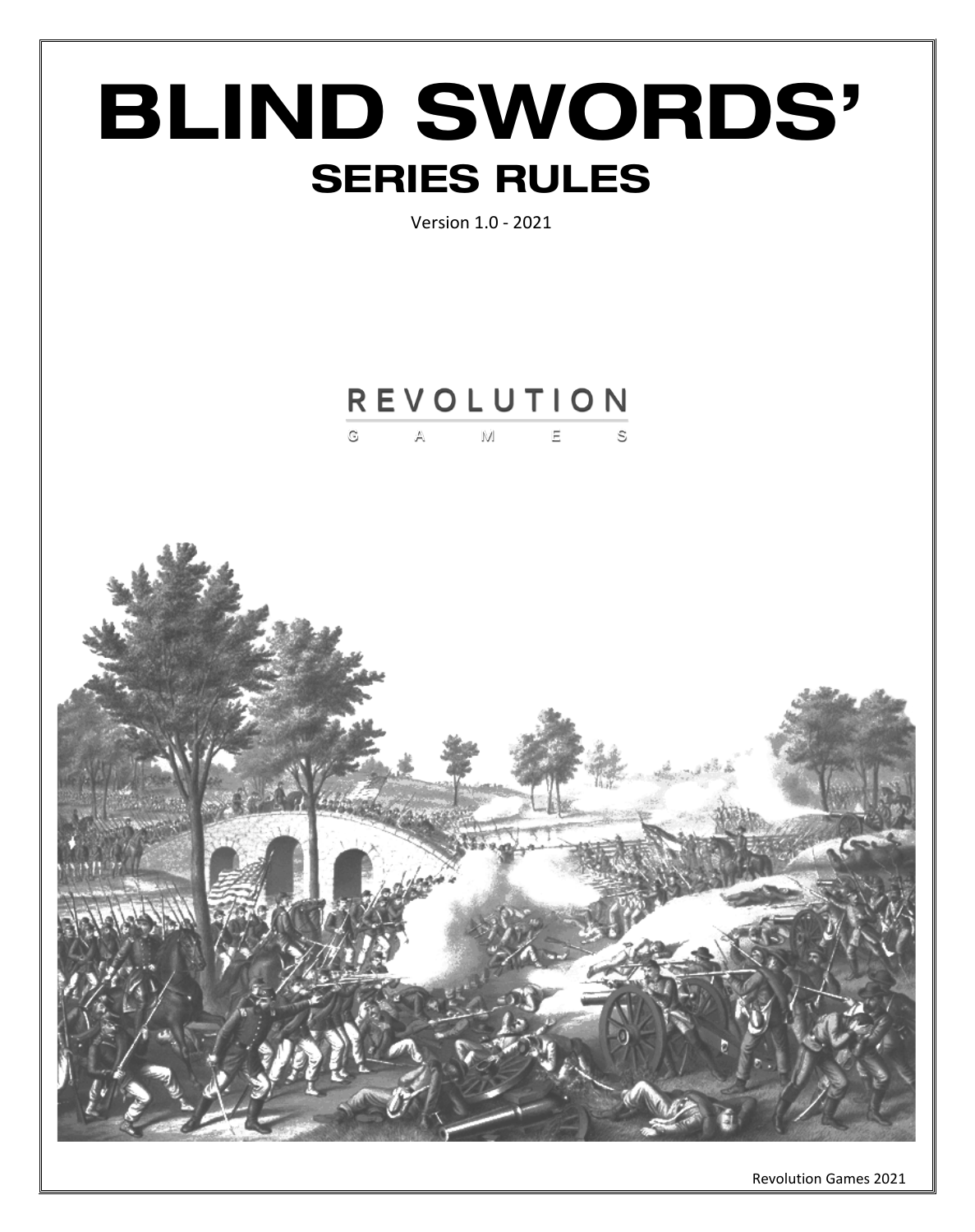

Revolution Games 2021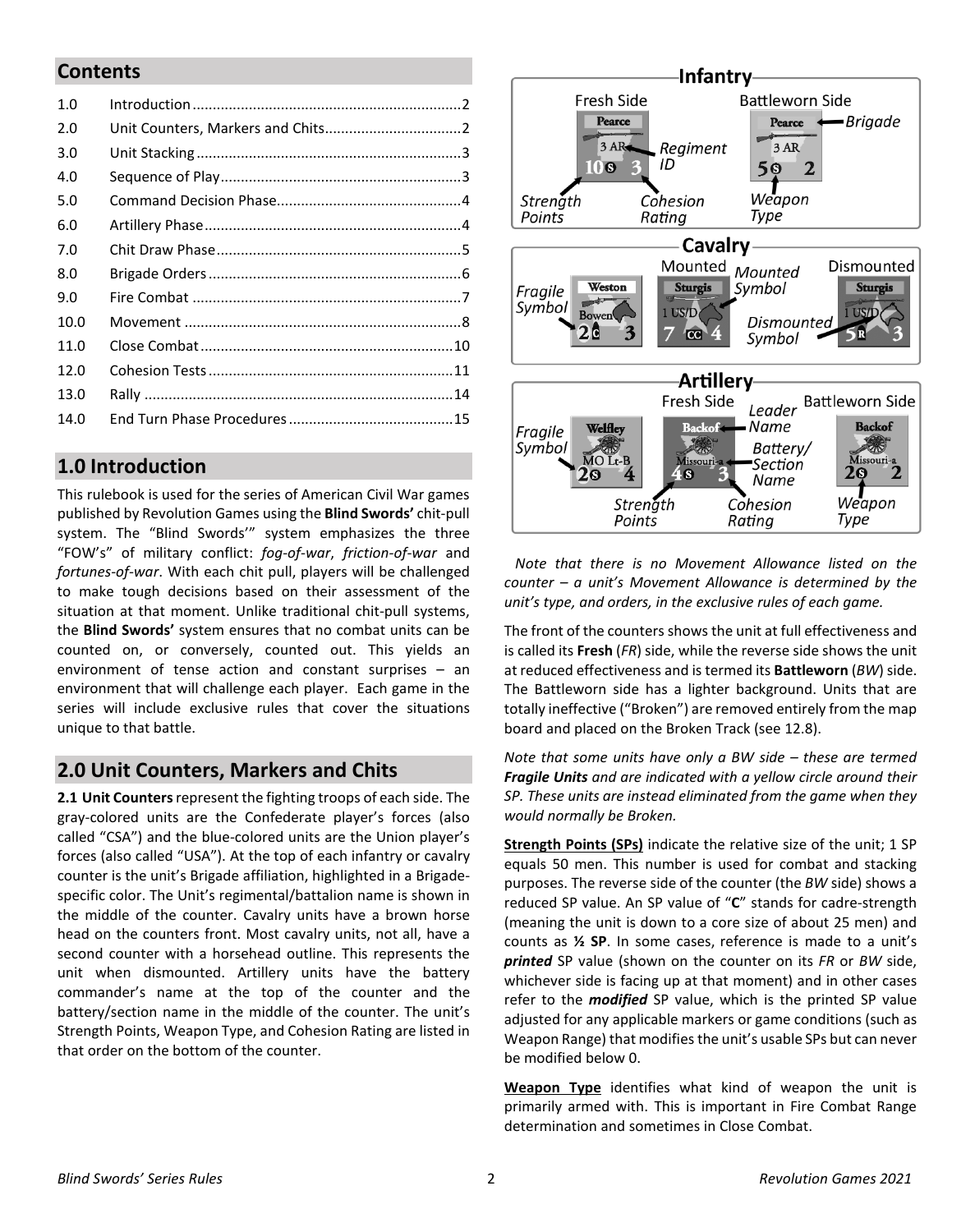### **Contents**

| 1.0  |  |
|------|--|
| 2.0  |  |
| 3.0  |  |
| 4.0  |  |
| 5.0  |  |
| 6.0  |  |
| 7.0  |  |
| 8.0  |  |
| 9.0  |  |
| 10.0 |  |
| 11.0 |  |
| 12.0 |  |
| 13.0 |  |
| 14.0 |  |
|      |  |

# <span id="page-1-0"></span>**1.0 Introduction**

This rulebook is used for the series of American Civil War games published by Revolution Games using the **Blind Swords'** chit-pull system. The "Blind Swords'" system emphasizes the three "FOW's" of military conflict: *fog-of-war*, *friction-of-war* and *fortunes-of-war*. With each chit pull, players will be challenged to make tough decisions based on their assessment of the situation at that moment. Unlike traditional chit-pull systems, the **Blind Swords'** system ensures that no combat units can be counted on, or conversely, counted out. This yields an environment of tense action and constant surprises – an environment that will challenge each player. Each game in the series will include exclusive rules that cover the situations unique to that battle.

# <span id="page-1-1"></span>**2.0 Unit Counters, Markers and Chits**

**2.1 Unit Counters**represent the fighting troops of each side. The gray-colored units are the Confederate player's forces (also called "CSA") and the blue-colored units are the Union player's forces (also called "USA"). At the top of each infantry or cavalry counter is the unit's Brigade affiliation, highlighted in a Brigadespecific color. The Unit's regimental/battalion name is shown in the middle of the counter. Cavalry units have a brown horse head on the counters front. Most cavalry units, not all, have a second counter with a horsehead outline. This represents the unit when dismounted. Artillery units have the battery commander's name at the top of the counter and the battery/section name in the middle of the counter. The unit's Strength Points, Weapon Type, and Cohesion Rating are listed in that order on the bottom of the counter.



 *Note that there is no Movement Allowance listed on the counter – a unit's Movement Allowance is determined by the unit's type, and orders, in the exclusive rules of each game.*

The front of the counters shows the unit at full effectiveness and is called its **Fresh** (*FR*) side, while the reverse side shows the unit at reduced effectiveness and is termed its **Battleworn** (*BW*) side. The Battleworn side has a lighter background. Units that are totally ineffective ("Broken") are removed entirely from the map board and placed on the Broken Track (see 12.8).

*Note that some units have only a BW side – these are termed Fragile Units and are indicated with a yellow circle around their SP. These units are instead eliminated from the game when they would normally be Broken.*

**Strength Points (SPs)** indicate the relative size of the unit; 1 SP equals 50 men. This number is used for combat and stacking purposes. The reverse side of the counter (the *BW* side) shows a reduced SP value. An SP value of "**C**" stands for cadre-strength (meaning the unit is down to a core size of about 25 men) and counts as **½ SP**. In some cases, reference is made to a unit's *printed* SP value (shown on the counter on its *FR* or *BW* side, whichever side is facing up at that moment) and in other cases refer to the *modified* SP value, which is the printed SP value adjusted for any applicable markers or game conditions (such as Weapon Range) that modifies the unit's usable SPs but can never be modified below 0.

**Weapon Type** identifies what kind of weapon the unit is primarily armed with. This is important in Fire Combat Range determination and sometimes in Close Combat.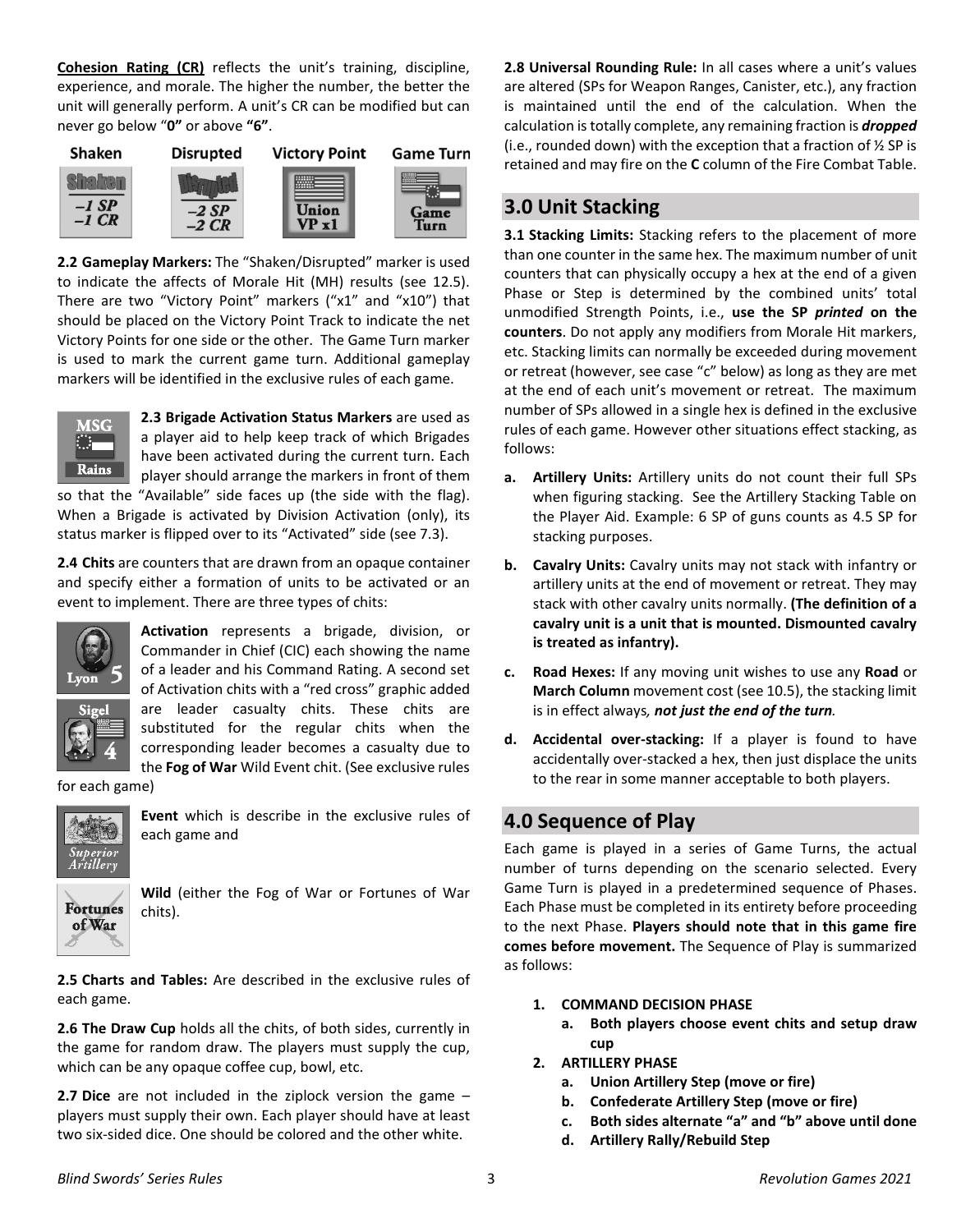**Cohesion Rating (CR)** reflects the unit's training, discipline, experience, and morale. The higher the number, the better the unit will generally perform. A unit's CR can be modified but can never go below "**0"** or above **"6"**.



**2.2 Gameplay Markers:** The "Shaken/Disrupted" marker is used to indicate the affects of Morale Hit (MH) results (see 12.5). There are two "Victory Point" markers ("x1" and "x10") that should be placed on the Victory Point Track to indicate the net Victory Points for one side or the other. The Game Turn marker is used to mark the current game turn. Additional gameplay markers will be identified in the exclusive rules of each game.



**2.3 Brigade Activation Status Markers** are used as a player aid to help keep track of which Brigades have been activated during the current turn. Each player should arrange the markers in front of them

so that the "Available" side faces up (the side with the flag). When a Brigade is activated by Division Activation (only), its status marker is flipped over to its "Activated" side (see 7.3).

**2.4 Chits** are counters that are drawn from an opaque container and specify either a formation of units to be activated or an event to implement. There are three types of chits:



**Activation** represents a brigade, division, or Commander in Chief (CIC) each showing the name of a leader and his Command Rating. A second set of Activation chits with a "red cross" graphic added are leader casualty chits. These chits are substituted for the regular chits when the corresponding leader becomes a casualty due to the **Fog of War** Wild Event chit. (See exclusive rules

for each game)



**Event** which is describe in the exclusive rules of each game and

**Fortunes** of War

**Wild** (either the Fog of War or Fortunes of War chits).

**2.5 Charts and Tables:** Are described in the exclusive rules of each game.

**2.6 The Draw Cup** holds all the chits, of both sides, currently in the game for random draw. The players must supply the cup, which can be any opaque coffee cup, bowl, etc.

**2.7 Dice** are not included in the ziplock version the game – players must supply their own. Each player should have at least two six-sided dice. One should be colored and the other white.

**2.8 Universal Rounding Rule:** In all cases where a unit's values are altered (SPs for Weapon Ranges, Canister, etc.), any fraction is maintained until the end of the calculation. When the calculation is totally complete, any remaining fraction is *dropped* (i.e., rounded down) with the exception that a fraction of ½ SP is retained and may fire on the **C** column of the Fire Combat Table.

## <span id="page-2-0"></span>**3.0 Unit Stacking**

**3.1 Stacking Limits:** Stacking refers to the placement of more than one counter in the same hex. The maximum number of unit counters that can physically occupy a hex at the end of a given Phase or Step is determined by the combined units' total unmodified Strength Points, i.e., **use the SP** *printed* **on the counters**. Do not apply any modifiers from Morale Hit markers, etc. Stacking limits can normally be exceeded during movement or retreat (however, see case "c" below) as long as they are met at the end of each unit's movement or retreat. The maximum number of SPs allowed in a single hex is defined in the exclusive rules of each game. However other situations effect stacking, as follows:

- **a. Artillery Units:** Artillery units do not count their full SPs when figuring stacking. See the Artillery Stacking Table on the Player Aid. Example: 6 SP of guns counts as 4.5 SP for stacking purposes.
- **b. Cavalry Units:** Cavalry units may not stack with infantry or artillery units at the end of movement or retreat. They may stack with other cavalry units normally. **(The definition of a cavalry unit is a unit that is mounted. Dismounted cavalry is treated as infantry).**
- **c. Road Hexes:** If any moving unit wishes to use any **Road** or **March Column** movement cost (see 10.5), the stacking limit is in effect always*, not just the end of the turn.*
- **d. Accidental over-stacking:** If a player is found to have accidentally over-stacked a hex, then just displace the units to the rear in some manner acceptable to both players.

# <span id="page-2-1"></span>**4.0 Sequence of Play**

Each game is played in a series of Game Turns, the actual number of turns depending on the scenario selected. Every Game Turn is played in a predetermined sequence of Phases. Each Phase must be completed in its entirety before proceeding to the next Phase. **Players should note that in this game fire comes before movement.** The Sequence of Play is summarized as follows:

- **1. COMMAND DECISION PHASE**
	- **a. Both players choose event chits and setup draw cup**
- **2. ARTILLERY PHASE**
	- **a. Union Artillery Step (move or fire)**
	- **b. Confederate Artillery Step (move or fire)**
	- **c. Both sides alternate "a" and "b" above until done**
	- **d. Artillery Rally/Rebuild Step**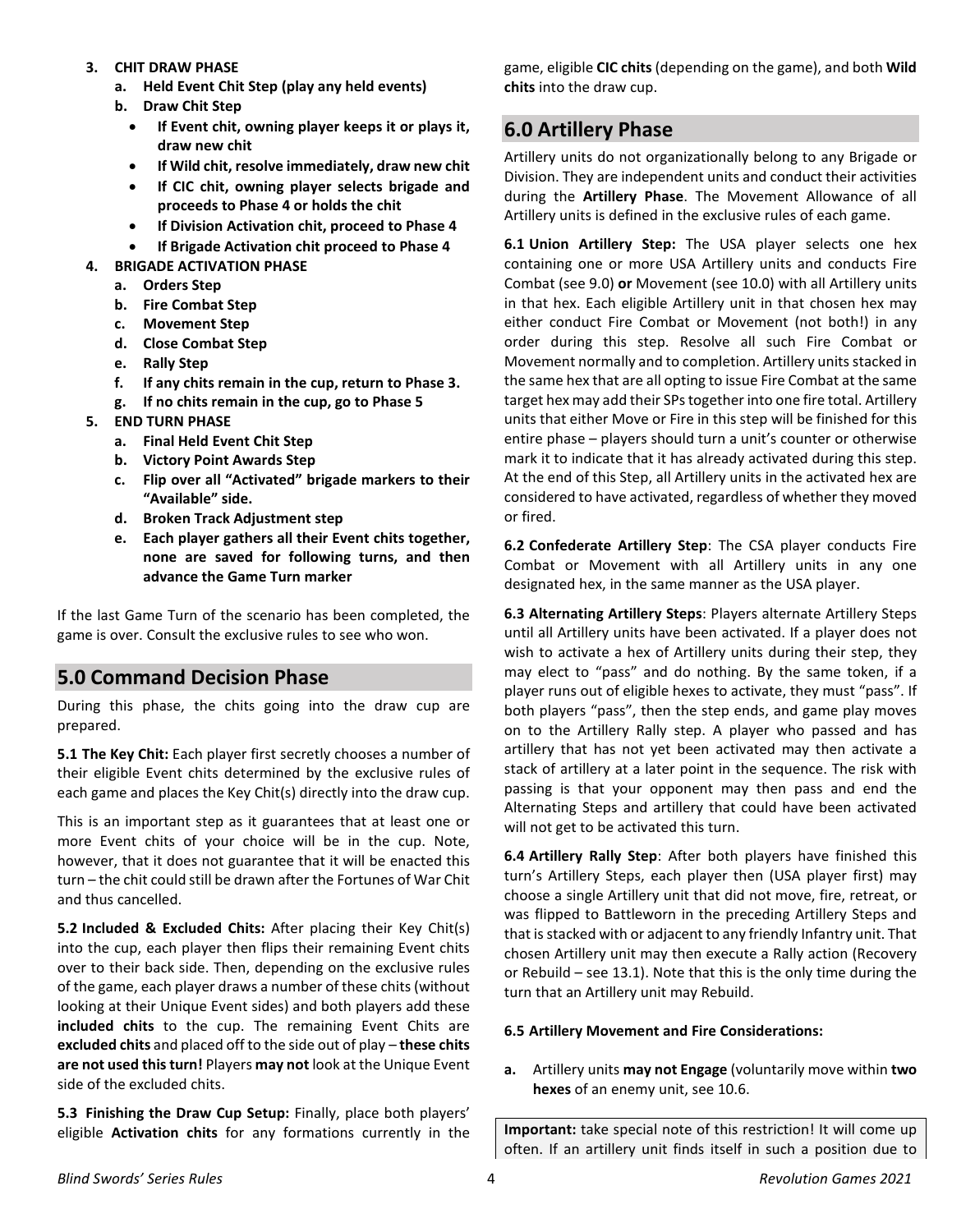#### **3. CHIT DRAW PHASE**

- **a. Held Event Chit Step (play any held events)**
- **b. Draw Chit Step**
	- **If Event chit, owning player keeps it or plays it, draw new chit**
	- **If Wild chit, resolve immediately, draw new chit**
	- **If CIC chit, owning player selects brigade and proceeds to Phase 4 or holds the chit**
	- **If Division Activation chit, proceed to Phase 4**
	- **If Brigade Activation chit proceed to Phase 4**
- **4. BRIGADE ACTIVATION PHASE**
	- **a. Orders Step**
	- **b. Fire Combat Step**
	- **c. Movement Step**
	- **d. Close Combat Step**
	- **e. Rally Step**
	- **f. If any chits remain in the cup, return to Phase 3.**
	- **g. If no chits remain in the cup, go to Phase 5**
- **5. END TURN PHASE**
	- **a. Final Held Event Chit Step**
	- **b. Victory Point Awards Step**
	- **c. Flip over all "Activated" brigade markers to their "Available" side.**
	- **d. Broken Track Adjustment step**
	- **e. Each player gathers all their Event chits together, none are saved for following turns, and then advance the Game Turn marker**

If the last Game Turn of the scenario has been completed, the game is over. Consult the exclusive rules to see who won.

### <span id="page-3-0"></span>**5.0 Command Decision Phase**

During this phase, the chits going into the draw cup are prepared.

**5.1 The Key Chit:** Each player first secretly chooses a number of their eligible Event chits determined by the exclusive rules of each game and places the Key Chit(s) directly into the draw cup.

This is an important step as it guarantees that at least one or more Event chits of your choice will be in the cup. Note, however, that it does not guarantee that it will be enacted this turn – the chit could still be drawn after the Fortunes of War Chit and thus cancelled.

**5.2 Included & Excluded Chits:** After placing their Key Chit(s) into the cup, each player then flips their remaining Event chits over to their back side. Then, depending on the exclusive rules of the game, each player draws a number of these chits (without looking at their Unique Event sides) and both players add these **included chits** to the cup. The remaining Event Chits are **excluded chits** and placed off to the side out of play – **these chits are not used this turn!** Players **may not** look at the Unique Event side of the excluded chits.

**5.3 Finishing the Draw Cup Setup:** Finally, place both players' eligible **Activation chits** for any formations currently in the game, eligible **CIC chits** (depending on the game), and both **Wild chits** into the draw cup.

## <span id="page-3-1"></span>**6.0 Artillery Phase**

Artillery units do not organizationally belong to any Brigade or Division. They are independent units and conduct their activities during the **Artillery Phase**. The Movement Allowance of all Artillery units is defined in the exclusive rules of each game.

**6.1 Union Artillery Step:** The USA player selects one hex containing one or more USA Artillery units and conducts Fire Combat (see 9.0) **or** Movement (see 10.0) with all Artillery units in that hex. Each eligible Artillery unit in that chosen hex may either conduct Fire Combat or Movement (not both!) in any order during this step. Resolve all such Fire Combat or Movement normally and to completion. Artillery units stacked in the same hex that are all opting to issue Fire Combat at the same target hex may add their SPs together into one fire total. Artillery units that either Move or Fire in this step will be finished for this entire phase – players should turn a unit's counter or otherwise mark it to indicate that it has already activated during this step. At the end of this Step, all Artillery units in the activated hex are considered to have activated, regardless of whether they moved or fired.

**6.2 Confederate Artillery Step**: The CSA player conducts Fire Combat or Movement with all Artillery units in any one designated hex, in the same manner as the USA player.

**6.3 Alternating Artillery Steps**: Players alternate Artillery Steps until all Artillery units have been activated. If a player does not wish to activate a hex of Artillery units during their step, they may elect to "pass" and do nothing. By the same token, if a player runs out of eligible hexes to activate, they must "pass". If both players "pass", then the step ends, and game play moves on to the Artillery Rally step. A player who passed and has artillery that has not yet been activated may then activate a stack of artillery at a later point in the sequence. The risk with passing is that your opponent may then pass and end the Alternating Steps and artillery that could have been activated will not get to be activated this turn.

**6.4 Artillery Rally Step**: After both players have finished this turn's Artillery Steps, each player then (USA player first) may choose a single Artillery unit that did not move, fire, retreat, or was flipped to Battleworn in the preceding Artillery Steps and that is stacked with or adjacent to any friendly Infantry unit. That chosen Artillery unit may then execute a Rally action (Recovery or Rebuild – see 13.1). Note that this is the only time during the turn that an Artillery unit may Rebuild.

#### **6.5 Artillery Movement and Fire Considerations:**

**a.** Artillery units **may not Engage** (voluntarily move within **two hexes** of an enemy unit, see 10.6.

**Important:** take special note of this restriction! It will come up often. If an artillery unit finds itself in such a position due to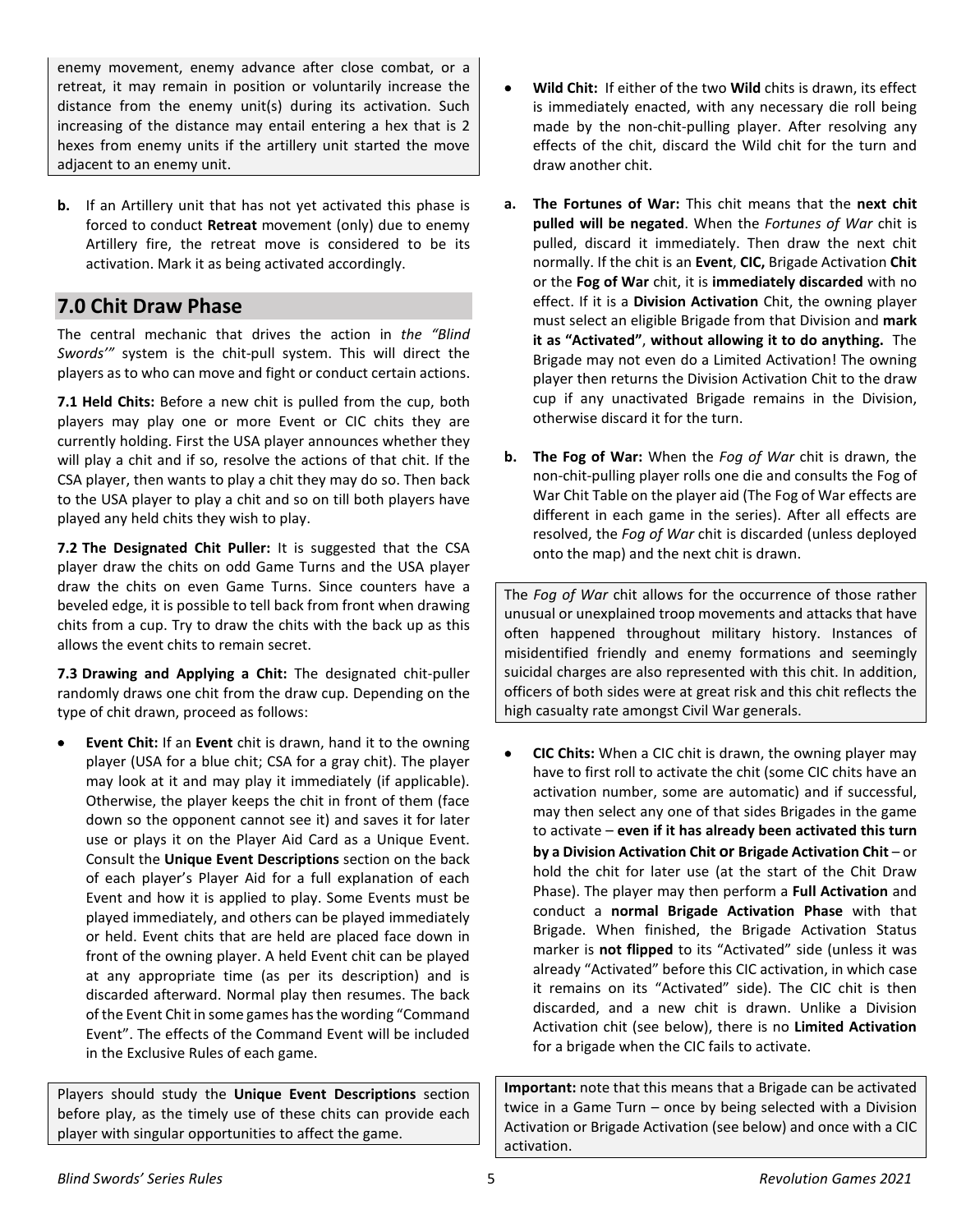enemy movement, enemy advance after close combat, or a retreat, it may remain in position or voluntarily increase the distance from the enemy unit(s) during its activation. Such increasing of the distance may entail entering a hex that is 2 hexes from enemy units if the artillery unit started the move adjacent to an enemy unit.

**b.** If an Artillery unit that has not yet activated this phase is forced to conduct **Retreat** movement (only) due to enemy Artillery fire, the retreat move is considered to be its activation. Mark it as being activated accordingly.

## <span id="page-4-0"></span>**7.0 Chit Draw Phase**

The central mechanic that drives the action in *the "Blind Swords'"* system is the chit-pull system. This will direct the players as to who can move and fight or conduct certain actions.

**7.1 Held Chits:** Before a new chit is pulled from the cup, both players may play one or more Event or CIC chits they are currently holding. First the USA player announces whether they will play a chit and if so, resolve the actions of that chit. If the CSA player, then wants to play a chit they may do so. Then back to the USA player to play a chit and so on till both players have played any held chits they wish to play.

**7.2 The Designated Chit Puller:** It is suggested that the CSA player draw the chits on odd Game Turns and the USA player draw the chits on even Game Turns. Since counters have a beveled edge, it is possible to tell back from front when drawing chits from a cup. Try to draw the chits with the back up as this allows the event chits to remain secret.

**7.3 Drawing and Applying a Chit:** The designated chit-puller randomly draws one chit from the draw cup. Depending on the type of chit drawn, proceed as follows:

**Event Chit:** If an **Event** chit is drawn, hand it to the owning player (USA for a blue chit; CSA for a gray chit). The player may look at it and may play it immediately (if applicable). Otherwise, the player keeps the chit in front of them (face down so the opponent cannot see it) and saves it for later use or plays it on the Player Aid Card as a Unique Event. Consult the **Unique Event Descriptions** section on the back of each player's Player Aid for a full explanation of each Event and how it is applied to play. Some Events must be played immediately, and others can be played immediately or held. Event chits that are held are placed face down in front of the owning player. A held Event chit can be played at any appropriate time (as per its description) and is discarded afterward. Normal play then resumes. The back of the Event Chit in some games has the wording "Command Event". The effects of the Command Event will be included in the Exclusive Rules of each game.

Players should study the **Unique Event Descriptions** section before play, as the timely use of these chits can provide each player with singular opportunities to affect the game.

- **Wild Chit:** If either of the two **Wild** chits is drawn, its effect is immediately enacted, with any necessary die roll being made by the non-chit-pulling player. After resolving any effects of the chit, discard the Wild chit for the turn and draw another chit.
- **a. The Fortunes of War:** This chit means that the **next chit pulled will be negated**. When the *Fortunes of War* chit is pulled, discard it immediately. Then draw the next chit normally. If the chit is an **Event**, **CIC,** Brigade Activation **Chit** or the **Fog of War** chit, it is **immediately discarded** with no effect. If it is a **Division Activation** Chit, the owning player must select an eligible Brigade from that Division and **mark it as "Activated"**, **without allowing it to do anything.** The Brigade may not even do a Limited Activation! The owning player then returns the Division Activation Chit to the draw cup if any unactivated Brigade remains in the Division, otherwise discard it for the turn.
- **b. The Fog of War:** When the *Fog of War* chit is drawn, the non-chit-pulling player rolls one die and consults the Fog of War Chit Table on the player aid (The Fog of War effects are different in each game in the series). After all effects are resolved, the *Fog of War* chit is discarded (unless deployed onto the map) and the next chit is drawn.

The *Fog of War* chit allows for the occurrence of those rather unusual or unexplained troop movements and attacks that have often happened throughout military history. Instances of misidentified friendly and enemy formations and seemingly suicidal charges are also represented with this chit. In addition, officers of both sides were at great risk and this chit reflects the high casualty rate amongst Civil War generals.

• **CIC Chits:** When a CIC chit is drawn, the owning player may have to first roll to activate the chit (some CIC chits have an activation number, some are automatic) and if successful, may then select any one of that sides Brigades in the game to activate – **even if it has already been activated this turn by a Division Activation Chit or Brigade Activation Chit** – or hold the chit for later use (at the start of the Chit Draw Phase). The player may then perform a **Full Activation** and conduct a **normal Brigade Activation Phase** with that Brigade. When finished, the Brigade Activation Status marker is **not flipped** to its "Activated" side (unless it was already "Activated" before this CIC activation, in which case it remains on its "Activated" side). The CIC chit is then discarded, and a new chit is drawn. Unlike a Division Activation chit (see below), there is no **Limited Activation**  for a brigade when the CIC fails to activate.

**Important:** note that this means that a Brigade can be activated twice in a Game Turn – once by being selected with a Division Activation or Brigade Activation (see below) and once with a CIC activation.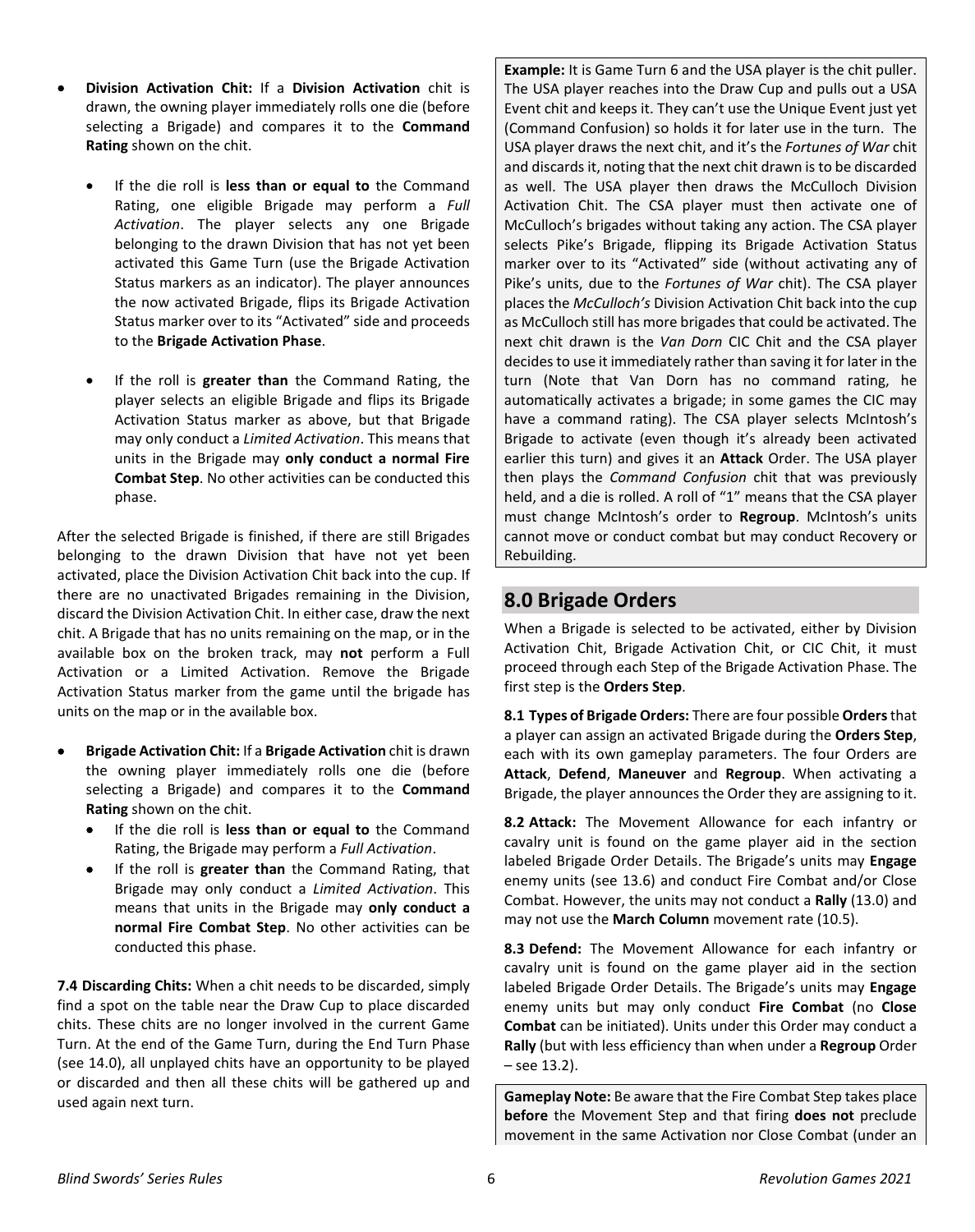- **Division Activation Chit:** If a **Division Activation** chit is drawn, the owning player immediately rolls one die (before selecting a Brigade) and compares it to the **Command Rating** shown on the chit.
	- If the die roll is **less than or equal to** the Command Rating, one eligible Brigade may perform a *Full Activation*. The player selects any one Brigade belonging to the drawn Division that has not yet been activated this Game Turn (use the Brigade Activation Status markers as an indicator). The player announces the now activated Brigade, flips its Brigade Activation Status marker over to its "Activated" side and proceeds to the **Brigade Activation Phase**.
	- If the roll is **greater than** the Command Rating, the player selects an eligible Brigade and flips its Brigade Activation Status marker as above, but that Brigade may only conduct a *Limited Activation*. This means that units in the Brigade may **only conduct a normal Fire Combat Step**. No other activities can be conducted this phase.

After the selected Brigade is finished, if there are still Brigades belonging to the drawn Division that have not yet been activated, place the Division Activation Chit back into the cup. If there are no unactivated Brigades remaining in the Division, discard the Division Activation Chit. In either case, draw the next chit. A Brigade that has no units remaining on the map, or in the available box on the broken track, may **not** perform a Full Activation or a Limited Activation. Remove the Brigade Activation Status marker from the game until the brigade has units on the map or in the available box.

- **Brigade Activation Chit:** If a **Brigade Activation** chit is drawn the owning player immediately rolls one die (before selecting a Brigade) and compares it to the **Command Rating** shown on the chit.
	- If the die roll is **less than or equal to** the Command Rating, the Brigade may perform a *Full Activation*.
	- If the roll is **greater than** the Command Rating, that Brigade may only conduct a *Limited Activation*. This means that units in the Brigade may **only conduct a normal Fire Combat Step**. No other activities can be conducted this phase.

**7.4 Discarding Chits:** When a chit needs to be discarded, simply find a spot on the table near the Draw Cup to place discarded chits. These chits are no longer involved in the current Game Turn. At the end of the Game Turn, during the End Turn Phase (see 14.0), all unplayed chits have an opportunity to be played or discarded and then all these chits will be gathered up and used again next turn.

**Example:** It is Game Turn 6 and the USA player is the chit puller. The USA player reaches into the Draw Cup and pulls out a USA Event chit and keeps it. They can't use the Unique Event just yet (Command Confusion) so holds it for later use in the turn. The USA player draws the next chit, and it's the *Fortunes of War* chit and discards it, noting that the next chit drawn is to be discarded as well. The USA player then draws the McCulloch Division Activation Chit. The CSA player must then activate one of McCulloch's brigades without taking any action. The CSA player selects Pike's Brigade, flipping its Brigade Activation Status marker over to its "Activated" side (without activating any of Pike's units, due to the *Fortunes of War* chit). The CSA player places the *McCulloch's* Division Activation Chit back into the cup as McCulloch still has more brigades that could be activated. The next chit drawn is the *Van Dorn* CIC Chit and the CSA player decides to use it immediately rather than saving it for later in the turn (Note that Van Dorn has no command rating, he automatically activates a brigade; in some games the CIC may have a command rating). The CSA player selects McIntosh's Brigade to activate (even though it's already been activated earlier this turn) and gives it an **Attack** Order. The USA player then plays the *Command Confusion* chit that was previously held, and a die is rolled. A roll of "1" means that the CSA player must change McIntosh's order to **Regroup**. McIntosh's units cannot move or conduct combat but may conduct Recovery or Rebuilding.

# <span id="page-5-0"></span>**8.0 Brigade Orders**

When a Brigade is selected to be activated, either by Division Activation Chit, Brigade Activation Chit, or CIC Chit, it must proceed through each Step of the Brigade Activation Phase. The first step is the **Orders Step**.

**8.1 Types of Brigade Orders:** There are four possible **Orders**that a player can assign an activated Brigade during the **Orders Step**, each with its own gameplay parameters. The four Orders are **Attack**, **Defend**, **Maneuver** and **Regroup**. When activating a Brigade, the player announces the Order they are assigning to it.

**8.2 Attack:** The Movement Allowance for each infantry or cavalry unit is found on the game player aid in the section labeled Brigade Order Details. The Brigade's units may **Engage**  enemy units (see 13.6) and conduct Fire Combat and/or Close Combat. However, the units may not conduct a **Rally** (13.0) and may not use the **March Column** movement rate (10.5).

**8.3 Defend:** The Movement Allowance for each infantry or cavalry unit is found on the game player aid in the section labeled Brigade Order Details. The Brigade's units may **Engage** enemy units but may only conduct **Fire Combat** (no **Close Combat** can be initiated). Units under this Order may conduct a **Rally** (but with less efficiency than when under a **Regroup** Order – see 13.2).

**Gameplay Note:** Be aware that the Fire Combat Step takes place **before** the Movement Step and that firing **does not** preclude movement in the same Activation nor Close Combat (under an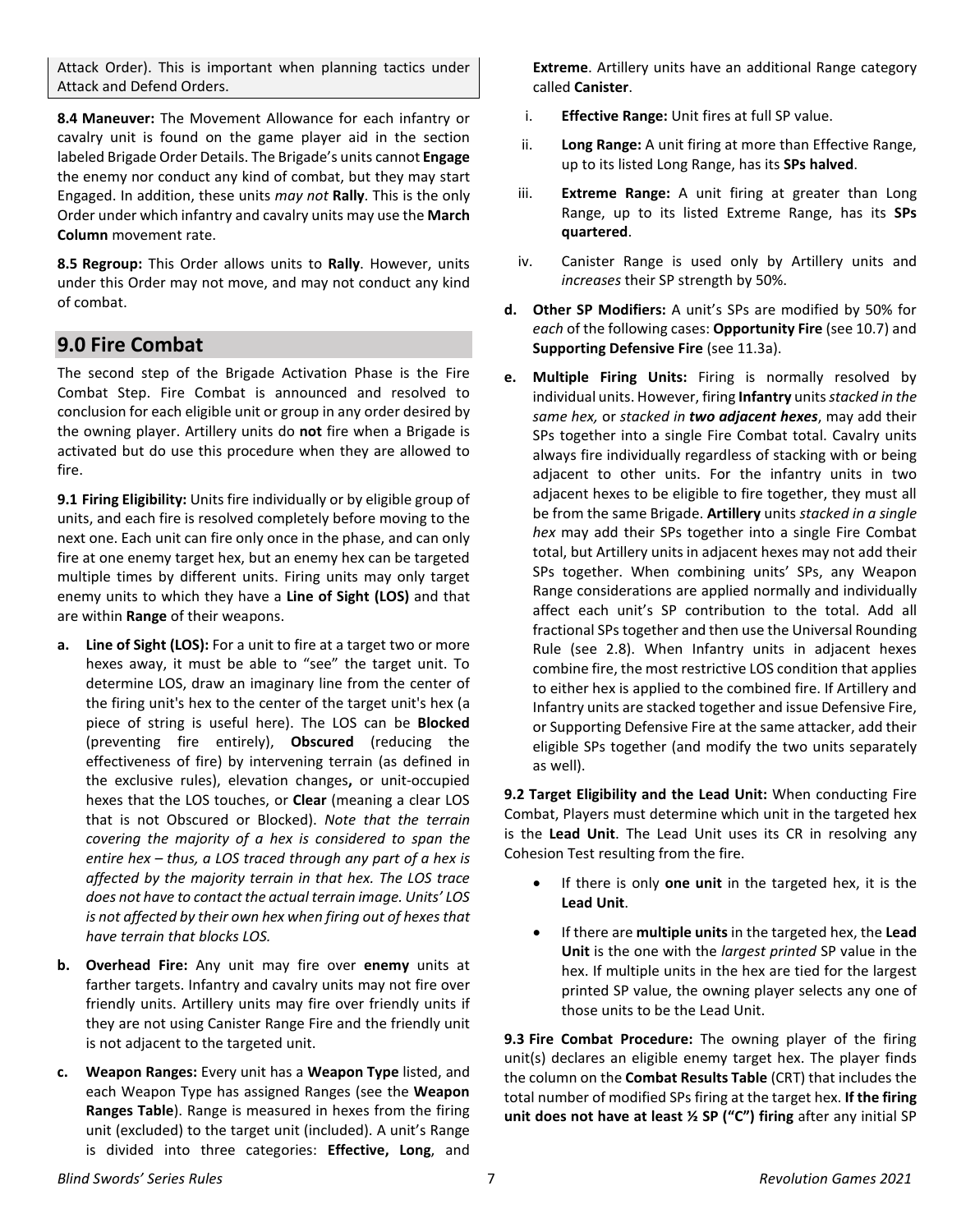Attack Order). This is important when planning tactics under Attack and Defend Orders.

**8.4 Maneuver:** The Movement Allowance for each infantry or cavalry unit is found on the game player aid in the section labeled Brigade Order Details. The Brigade's units cannot **Engage** the enemy nor conduct any kind of combat, but they may start Engaged. In addition, these units *may not* **Rally**. This is the only Order under which infantry and cavalry units may use the **March Column** movement rate.

**8.5 Regroup:** This Order allows units to **Rally**. However, units under this Order may not move, and may not conduct any kind of combat.

### <span id="page-6-0"></span>**9.0 Fire Combat**

The second step of the Brigade Activation Phase is the Fire Combat Step. Fire Combat is announced and resolved to conclusion for each eligible unit or group in any order desired by the owning player. Artillery units do **not** fire when a Brigade is activated but do use this procedure when they are allowed to fire.

**9.1 Firing Eligibility:** Units fire individually or by eligible group of units, and each fire is resolved completely before moving to the next one. Each unit can fire only once in the phase, and can only fire at one enemy target hex, but an enemy hex can be targeted multiple times by different units. Firing units may only target enemy units to which they have a **Line of Sight (LOS)** and that are within **Range** of their weapons.

- **a. Line of Sight (LOS):** For a unit to fire at a target two or more hexes away, it must be able to "see" the target unit. To determine LOS, draw an imaginary line from the center of the firing unit's hex to the center of the target unit's hex (a piece of string is useful here). The LOS can be **Blocked** (preventing fire entirely), **Obscured** (reducing the effectiveness of fire) by intervening terrain (as defined in the exclusive rules), elevation changes**,** or unit-occupied hexes that the LOS touches, or **Clear** (meaning a clear LOS that is not Obscured or Blocked). *Note that the terrain covering the majority of a hex is considered to span the entire hex – thus, a LOS traced through any part of a hex is affected by the majority terrain in that hex. The LOS trace does not have to contact the actual terrain image. Units' LOS is not affected by their own hex when firing out of hexes that have terrain that blocks LOS.*
- **b. Overhead Fire:** Any unit may fire over **enemy** units at farther targets. Infantry and cavalry units may not fire over friendly units. Artillery units may fire over friendly units if they are not using Canister Range Fire and the friendly unit is not adjacent to the targeted unit.
- **c. Weapon Ranges:** Every unit has a **Weapon Type** listed, and each Weapon Type has assigned Ranges (see the **Weapon Ranges Table**). Range is measured in hexes from the firing unit (excluded) to the target unit (included). A unit's Range is divided into three categories: **Effective, Long**, and

**Extreme**. Artillery units have an additional Range category called **Canister**.

- i. **Effective Range:** Unit fires at full SP value.
- ii. **Long Range:** A unit firing at more than Effective Range, up to its listed Long Range, has its **SPs halved**.
- iii. **Extreme Range:** A unit firing at greater than Long Range, up to its listed Extreme Range, has its **SPs quartered**.
- iv. Canister Range is used only by Artillery units and *increases* their SP strength by 50%.
- **d. Other SP Modifiers:** A unit's SPs are modified by 50% for *each* of the following cases: **Opportunity Fire** (see 10.7) and **Supporting Defensive Fire** (see 11.3a).
- **e. Multiple Firing Units:** Firing is normally resolved by individual units. However, firing **Infantry** units *stacked in the same hex,* or *stacked in two adjacent hexes*, may add their SPs together into a single Fire Combat total. Cavalry units always fire individually regardless of stacking with or being adjacent to other units. For the infantry units in two adjacent hexes to be eligible to fire together, they must all be from the same Brigade. **Artillery** units *stacked in a single hex* may add their SPs together into a single Fire Combat total, but Artillery units in adjacent hexes may not add their SPs together. When combining units' SPs, any Weapon Range considerations are applied normally and individually affect each unit's SP contribution to the total. Add all fractional SPs together and then use the Universal Rounding Rule (see 2.8). When Infantry units in adjacent hexes combine fire, the most restrictive LOS condition that applies to either hex is applied to the combined fire. If Artillery and Infantry units are stacked together and issue Defensive Fire, or Supporting Defensive Fire at the same attacker, add their eligible SPs together (and modify the two units separately as well).

**9.2 Target Eligibility and the Lead Unit:** When conducting Fire Combat, Players must determine which unit in the targeted hex is the **Lead Unit**. The Lead Unit uses its CR in resolving any Cohesion Test resulting from the fire.

- If there is only **one unit** in the targeted hex, it is the **Lead Unit**.
- If there are **multiple units** in the targeted hex, the **Lead Unit** is the one with the *largest printed* SP value in the hex. If multiple units in the hex are tied for the largest printed SP value, the owning player selects any one of those units to be the Lead Unit.

**9.3 Fire Combat Procedure:** The owning player of the firing unit(s) declares an eligible enemy target hex. The player finds the column on the **Combat Results Table** (CRT) that includes the total number of modified SPs firing at the target hex. **If the firing unit does not have at least ½ SP ("C") firing** after any initial SP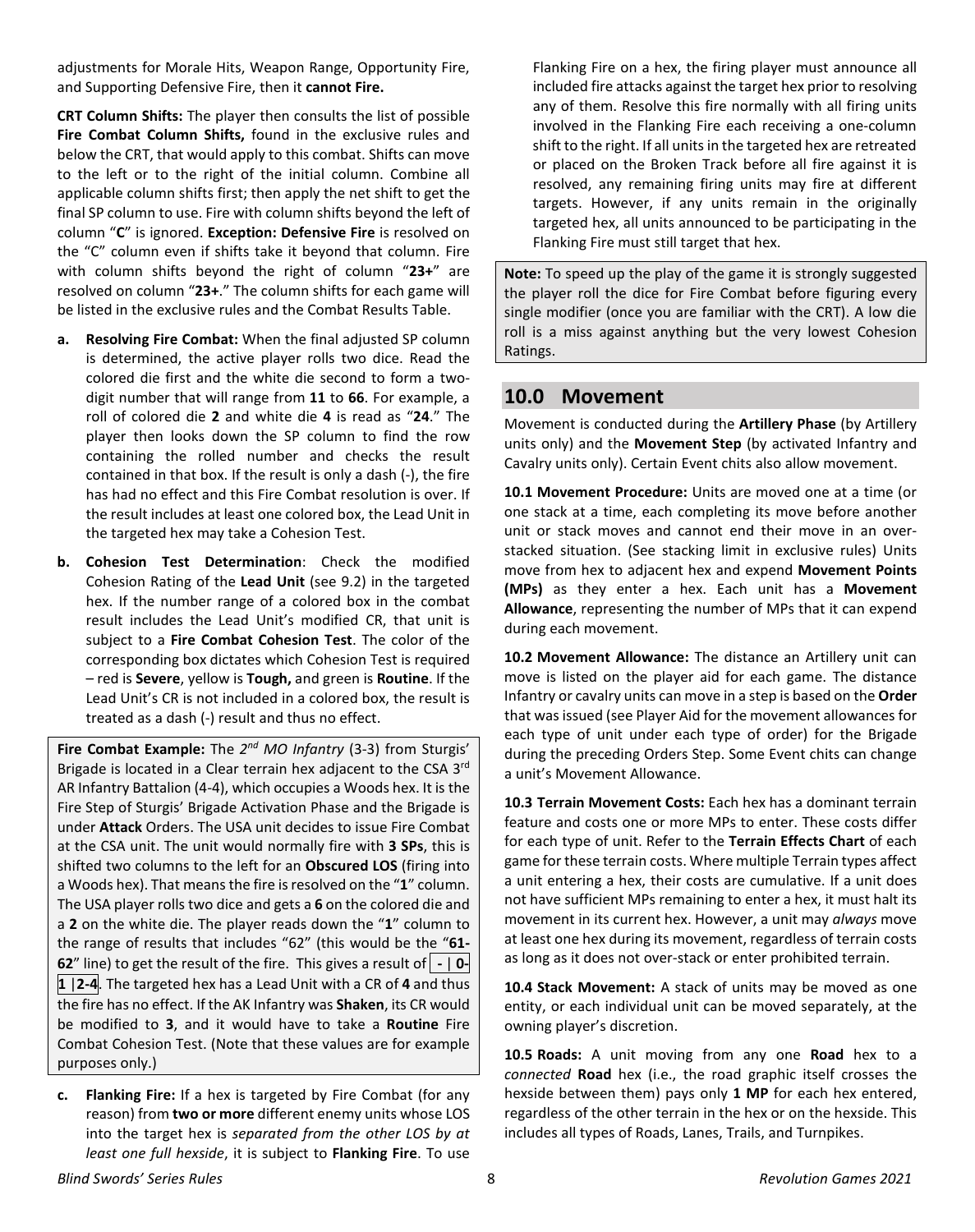adjustments for Morale Hits, Weapon Range, Opportunity Fire, and Supporting Defensive Fire, then it **cannot Fire.** 

**CRT Column Shifts:** The player then consults the list of possible **Fire Combat Column Shifts,** found in the exclusive rules and below the CRT, that would apply to this combat. Shifts can move to the left or to the right of the initial column. Combine all applicable column shifts first; then apply the net shift to get the final SP column to use. Fire with column shifts beyond the left of column "**C**" is ignored. **Exception: Defensive Fire** is resolved on the "C" column even if shifts take it beyond that column. Fire with column shifts beyond the right of column "**23+**" are resolved on column "**23+**." The column shifts for each game will be listed in the exclusive rules and the Combat Results Table.

- **a. Resolving Fire Combat:** When the final adjusted SP column is determined, the active player rolls two dice. Read the colored die first and the white die second to form a twodigit number that will range from **11** to **66**. For example, a roll of colored die **2** and white die **4** is read as "**24**." The player then looks down the SP column to find the row containing the rolled number and checks the result contained in that box. If the result is only a dash (-), the fire has had no effect and this Fire Combat resolution is over. If the result includes at least one colored box, the Lead Unit in the targeted hex may take a Cohesion Test.
- **b. Cohesion Test Determination**: Check the modified Cohesion Rating of the **Lead Unit** (see 9.2) in the targeted hex. If the number range of a colored box in the combat result includes the Lead Unit's modified CR, that unit is subject to a **Fire Combat Cohesion Test**. The color of the corresponding box dictates which Cohesion Test is required – red is **Severe**, yellow is **Tough,** and green is **Routine**. If the Lead Unit's CR is not included in a colored box, the result is treated as a dash (-) result and thus no effect.

**Fire Combat Example:** The *2nd MO Infantry* (3-3) from Sturgis' Brigade is located in a Clear terrain hex adjacent to the CSA 3rd AR Infantry Battalion (4-4), which occupies a Woods hex. It is the Fire Step of Sturgis' Brigade Activation Phase and the Brigade is under **Attack** Orders. The USA unit decides to issue Fire Combat at the CSA unit. The unit would normally fire with **3 SPs**, this is shifted two columns to the left for an **Obscured LOS** (firing into a Woods hex). That means the fire is resolved on the "**1**" column. The USA player rolls two dice and gets a **6** on the colored die and a **2** on the white die. The player reads down the "**1**" column to the range of results that includes "62" (this would be the "**61- 62**" line) to get the result of the fire. This gives a result of **-** | **0- 1** |**2-4**. The targeted hex has a Lead Unit with a CR of **4** and thus the fire has no effect. If the AK Infantry was **Shaken**, its CR would be modified to **3**, and it would have to take a **Routine** Fire Combat Cohesion Test. (Note that these values are for example purposes only.)

**c. Flanking Fire:** If a hex is targeted by Fire Combat (for any reason) from **two or more** different enemy units whose LOS into the target hex is *separated from the other LOS by at least one full hexside*, it is subject to **Flanking Fire**. To use

Flanking Fire on a hex, the firing player must announce all included fire attacks against the target hex prior to resolving any of them. Resolve this fire normally with all firing units involved in the Flanking Fire each receiving a one-column shift to the right. If all units in the targeted hex are retreated or placed on the Broken Track before all fire against it is resolved, any remaining firing units may fire at different targets. However, if any units remain in the originally targeted hex, all units announced to be participating in the Flanking Fire must still target that hex.

**Note:** To speed up the play of the game it is strongly suggested the player roll the dice for Fire Combat before figuring every single modifier (once you are familiar with the CRT). A low die roll is a miss against anything but the very lowest Cohesion Ratings.

### <span id="page-7-0"></span>**10.0 Movement**

Movement is conducted during the **Artillery Phase** (by Artillery units only) and the **Movement Step** (by activated Infantry and Cavalry units only). Certain Event chits also allow movement.

**10.1 Movement Procedure:** Units are moved one at a time (or one stack at a time, each completing its move before another unit or stack moves and cannot end their move in an overstacked situation. (See stacking limit in exclusive rules) Units move from hex to adjacent hex and expend **Movement Points (MPs)** as they enter a hex. Each unit has a **Movement Allowance**, representing the number of MPs that it can expend during each movement.

**10.2 Movement Allowance:** The distance an Artillery unit can move is listed on the player aid for each game. The distance Infantry or cavalry units can move in a step is based on the **Order** that was issued (see Player Aid for the movement allowances for each type of unit under each type of order) for the Brigade during the preceding Orders Step. Some Event chits can change a unit's Movement Allowance.

**10.3 Terrain Movement Costs:** Each hex has a dominant terrain feature and costs one or more MPs to enter. These costs differ for each type of unit. Refer to the **Terrain Effects Chart** of each game for these terrain costs. Where multiple Terrain types affect a unit entering a hex, their costs are cumulative. If a unit does not have sufficient MPs remaining to enter a hex, it must halt its movement in its current hex. However, a unit may *always* move at least one hex during its movement, regardless of terrain costs as long as it does not over-stack or enter prohibited terrain.

**10.4 Stack Movement:** A stack of units may be moved as one entity, or each individual unit can be moved separately, at the owning player's discretion.

**10.5 Roads:** A unit moving from any one **Road** hex to a *connected* **Road** hex (i.e., the road graphic itself crosses the hexside between them) pays only **1 MP** for each hex entered, regardless of the other terrain in the hex or on the hexside. This includes all types of Roads, Lanes, Trails, and Turnpikes.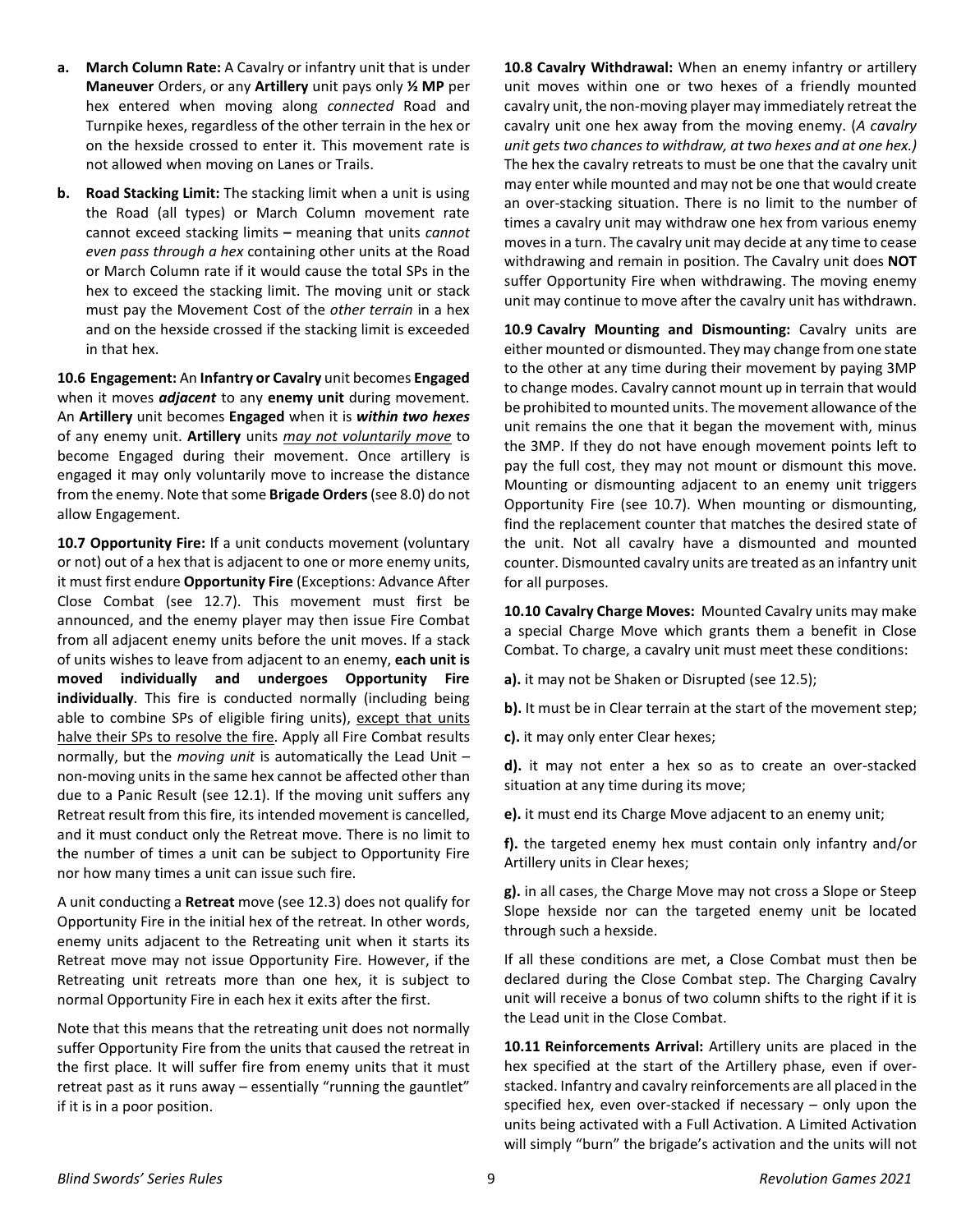- **a. March Column Rate:** A Cavalry or infantry unit that is under **Maneuver** Orders, or any **Artillery** unit pays only **½ MP** per hex entered when moving along *connected* Road and Turnpike hexes, regardless of the other terrain in the hex or on the hexside crossed to enter it. This movement rate is not allowed when moving on Lanes or Trails.
- **b. Road Stacking Limit:** The stacking limit when a unit is using the Road (all types) or March Column movement rate cannot exceed stacking limits **–** meaning that units *cannot even pass through a hex* containing other units at the Road or March Column rate if it would cause the total SPs in the hex to exceed the stacking limit. The moving unit or stack must pay the Movement Cost of the *other terrain* in a hex and on the hexside crossed if the stacking limit is exceeded in that hex.

**10.6 Engagement:** An **Infantry or Cavalry** unit becomes **Engaged** when it moves *adjacent* to any **enemy unit** during movement. An **Artillery** unit becomes **Engaged** when it is *within two hexes* of any enemy unit. **Artillery** units *may not voluntarily move* to become Engaged during their movement. Once artillery is engaged it may only voluntarily move to increase the distance from the enemy. Note that some **Brigade Orders**(see 8.0) do not allow Engagement.

**10.7 Opportunity Fire:** If a unit conducts movement (voluntary or not) out of a hex that is adjacent to one or more enemy units, it must first endure **Opportunity Fire** (Exceptions: Advance After Close Combat (see 12.7). This movement must first be announced, and the enemy player may then issue Fire Combat from all adjacent enemy units before the unit moves. If a stack of units wishes to leave from adjacent to an enemy, **each unit is moved individually and undergoes Opportunity Fire individually**. This fire is conducted normally (including being able to combine SPs of eligible firing units), except that units halve their SPs to resolve the fire. Apply all Fire Combat results normally, but the *moving unit* is automatically the Lead Unit – non-moving units in the same hex cannot be affected other than due to a Panic Result (see 12.1). If the moving unit suffers any Retreat result from this fire, its intended movement is cancelled, and it must conduct only the Retreat move. There is no limit to the number of times a unit can be subject to Opportunity Fire nor how many times a unit can issue such fire.

A unit conducting a **Retreat** move (see 12.3) does not qualify for Opportunity Fire in the initial hex of the retreat*.* In other words, enemy units adjacent to the Retreating unit when it starts its Retreat move may not issue Opportunity Fire. However, if the Retreating unit retreats more than one hex, it is subject to normal Opportunity Fire in each hex it exits after the first.

Note that this means that the retreating unit does not normally suffer Opportunity Fire from the units that caused the retreat in the first place. It will suffer fire from enemy units that it must retreat past as it runs away – essentially "running the gauntlet" if it is in a poor position.

**10.8 Cavalry Withdrawal:** When an enemy infantry or artillery unit moves within one or two hexes of a friendly mounted cavalry unit, the non-moving player may immediately retreat the cavalry unit one hex away from the moving enemy. (*A cavalry unit gets two chances to withdraw, at two hexes and at one hex.)* The hex the cavalry retreats to must be one that the cavalry unit may enter while mounted and may not be one that would create an over-stacking situation. There is no limit to the number of times a cavalry unit may withdraw one hex from various enemy moves in a turn. The cavalry unit may decide at any time to cease withdrawing and remain in position. The Cavalry unit does **NOT** suffer Opportunity Fire when withdrawing. The moving enemy unit may continue to move after the cavalry unit has withdrawn.

**10.9 Cavalry Mounting and Dismounting:** Cavalry units are either mounted or dismounted. They may change from one state to the other at any time during their movement by paying 3MP to change modes. Cavalry cannot mount up in terrain that would be prohibited to mounted units. The movement allowance of the unit remains the one that it began the movement with, minus the 3MP. If they do not have enough movement points left to pay the full cost, they may not mount or dismount this move. Mounting or dismounting adjacent to an enemy unit triggers Opportunity Fire (see 10.7). When mounting or dismounting, find the replacement counter that matches the desired state of the unit. Not all cavalry have a dismounted and mounted counter. Dismounted cavalry units are treated as an infantry unit for all purposes.

**10.10 Cavalry Charge Moves:** Mounted Cavalry units may make a special Charge Move which grants them a benefit in Close Combat. To charge, a cavalry unit must meet these conditions:

**a).** it may not be Shaken or Disrupted (see 12.5);

**b).** It must be in Clear terrain at the start of the movement step;

**c).** it may only enter Clear hexes;

**d).** it may not enter a hex so as to create an over-stacked situation at any time during its move;

**e).** it must end its Charge Move adjacent to an enemy unit;

**f).** the targeted enemy hex must contain only infantry and/or Artillery units in Clear hexes;

**g).** in all cases, the Charge Move may not cross a Slope or Steep Slope hexside nor can the targeted enemy unit be located through such a hexside.

If all these conditions are met, a Close Combat must then be declared during the Close Combat step. The Charging Cavalry unit will receive a bonus of two column shifts to the right if it is the Lead unit in the Close Combat.

**10.11 Reinforcements Arrival:** Artillery units are placed in the hex specified at the start of the Artillery phase, even if overstacked. Infantry and cavalry reinforcements are all placed in the specified hex, even over-stacked if necessary – only upon the units being activated with a Full Activation. A Limited Activation will simply "burn" the brigade's activation and the units will not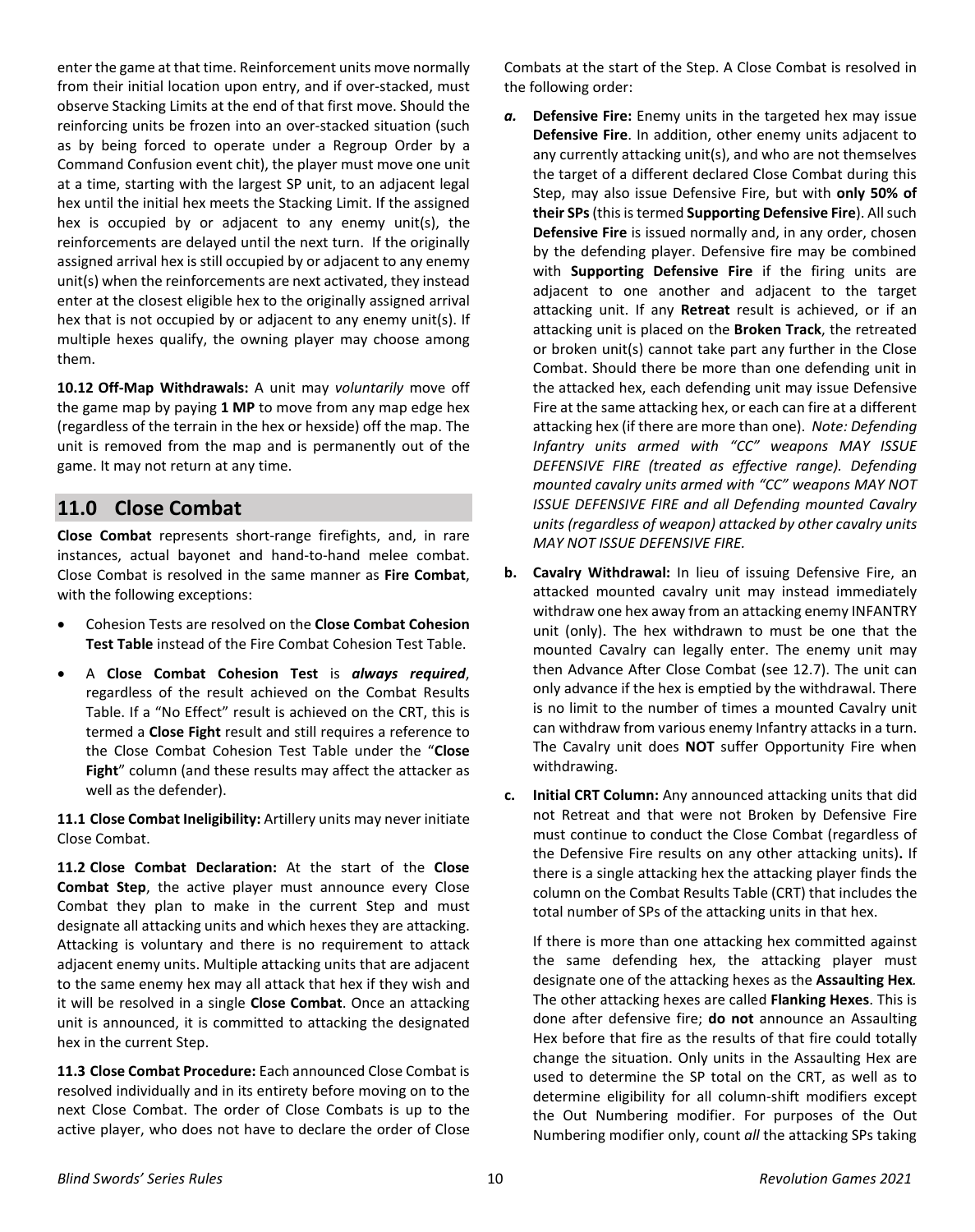enter the game at that time. Reinforcement units move normally from their initial location upon entry, and if over-stacked, must observe Stacking Limits at the end of that first move. Should the reinforcing units be frozen into an over-stacked situation (such as by being forced to operate under a Regroup Order by a Command Confusion event chit), the player must move one unit at a time, starting with the largest SP unit, to an adjacent legal hex until the initial hex meets the Stacking Limit. If the assigned hex is occupied by or adjacent to any enemy unit(s), the reinforcements are delayed until the next turn. If the originally assigned arrival hex is still occupied by or adjacent to any enemy unit(s) when the reinforcements are next activated, they instead enter at the closest eligible hex to the originally assigned arrival hex that is not occupied by or adjacent to any enemy unit(s). If multiple hexes qualify, the owning player may choose among them.

**10.12 Off-Map Withdrawals:** A unit may *voluntarily* move off the game map by paying **1 MP** to move from any map edge hex (regardless of the terrain in the hex or hexside) off the map. The unit is removed from the map and is permanently out of the game. It may not return at any time.

### <span id="page-9-0"></span>**11.0 Close Combat**

**Close Combat** represents short-range firefights, and, in rare instances, actual bayonet and hand-to-hand melee combat. Close Combat is resolved in the same manner as **Fire Combat**, with the following exceptions:

- Cohesion Tests are resolved on the **Close Combat Cohesion Test Table** instead of the Fire Combat Cohesion Test Table.
- A **Close Combat Cohesion Test** is *always required*, regardless of the result achieved on the Combat Results Table. If a "No Effect" result is achieved on the CRT, this is termed a **Close Fight** result and still requires a reference to the Close Combat Cohesion Test Table under the "**Close Fight**" column (and these results may affect the attacker as well as the defender).

**11.1 Close Combat Ineligibility:** Artillery units may never initiate Close Combat.

**11.2 Close Combat Declaration:** At the start of the **Close Combat Step**, the active player must announce every Close Combat they plan to make in the current Step and must designate all attacking units and which hexes they are attacking. Attacking is voluntary and there is no requirement to attack adjacent enemy units. Multiple attacking units that are adjacent to the same enemy hex may all attack that hex if they wish and it will be resolved in a single **Close Combat**. Once an attacking unit is announced, it is committed to attacking the designated hex in the current Step.

**11.3 Close Combat Procedure:** Each announced Close Combat is resolved individually and in its entirety before moving on to the next Close Combat. The order of Close Combats is up to the active player, who does not have to declare the order of Close

Combats at the start of the Step. A Close Combat is resolved in the following order:

- *a.* **Defensive Fire:** Enemy units in the targeted hex may issue **Defensive Fire**. In addition, other enemy units adjacent to any currently attacking unit(s), and who are not themselves the target of a different declared Close Combat during this Step, may also issue Defensive Fire, but with **only 50% of their SPs**(this is termed **Supporting Defensive Fire**). All such **Defensive Fire** is issued normally and, in any order, chosen by the defending player. Defensive fire may be combined with **Supporting Defensive Fire** if the firing units are adjacent to one another and adjacent to the target attacking unit. If any **Retreat** result is achieved, or if an attacking unit is placed on the **Broken Track**, the retreated or broken unit(s) cannot take part any further in the Close Combat. Should there be more than one defending unit in the attacked hex, each defending unit may issue Defensive Fire at the same attacking hex, or each can fire at a different attacking hex (if there are more than one). *Note: Defending Infantry units armed with "CC" weapons MAY ISSUE DEFENSIVE FIRE (treated as effective range). Defending mounted cavalry units armed with "CC" weapons MAY NOT ISSUE DEFENSIVE FIRE and all Defending mounted Cavalry units (regardless of weapon) attacked by other cavalry units MAY NOT ISSUE DEFENSIVE FIRE.*
- **b. Cavalry Withdrawal:** In lieu of issuing Defensive Fire, an attacked mounted cavalry unit may instead immediately withdraw one hex away from an attacking enemy INFANTRY unit (only). The hex withdrawn to must be one that the mounted Cavalry can legally enter. The enemy unit may then Advance After Close Combat (see 12.7). The unit can only advance if the hex is emptied by the withdrawal. There is no limit to the number of times a mounted Cavalry unit can withdraw from various enemy Infantry attacks in a turn. The Cavalry unit does **NOT** suffer Opportunity Fire when withdrawing.
- **c. Initial CRT Column:** Any announced attacking units that did not Retreat and that were not Broken by Defensive Fire must continue to conduct the Close Combat (regardless of the Defensive Fire results on any other attacking units)**.** If there is a single attacking hex the attacking player finds the column on the Combat Results Table (CRT) that includes the total number of SPs of the attacking units in that hex.

If there is more than one attacking hex committed against the same defending hex, the attacking player must designate one of the attacking hexes as the **Assaulting Hex***.* The other attacking hexes are called **Flanking Hexes**. This is done after defensive fire; **do not** announce an Assaulting Hex before that fire as the results of that fire could totally change the situation. Only units in the Assaulting Hex are used to determine the SP total on the CRT, as well as to determine eligibility for all column-shift modifiers except the Out Numbering modifier. For purposes of the Out Numbering modifier only, count *all* the attacking SPs taking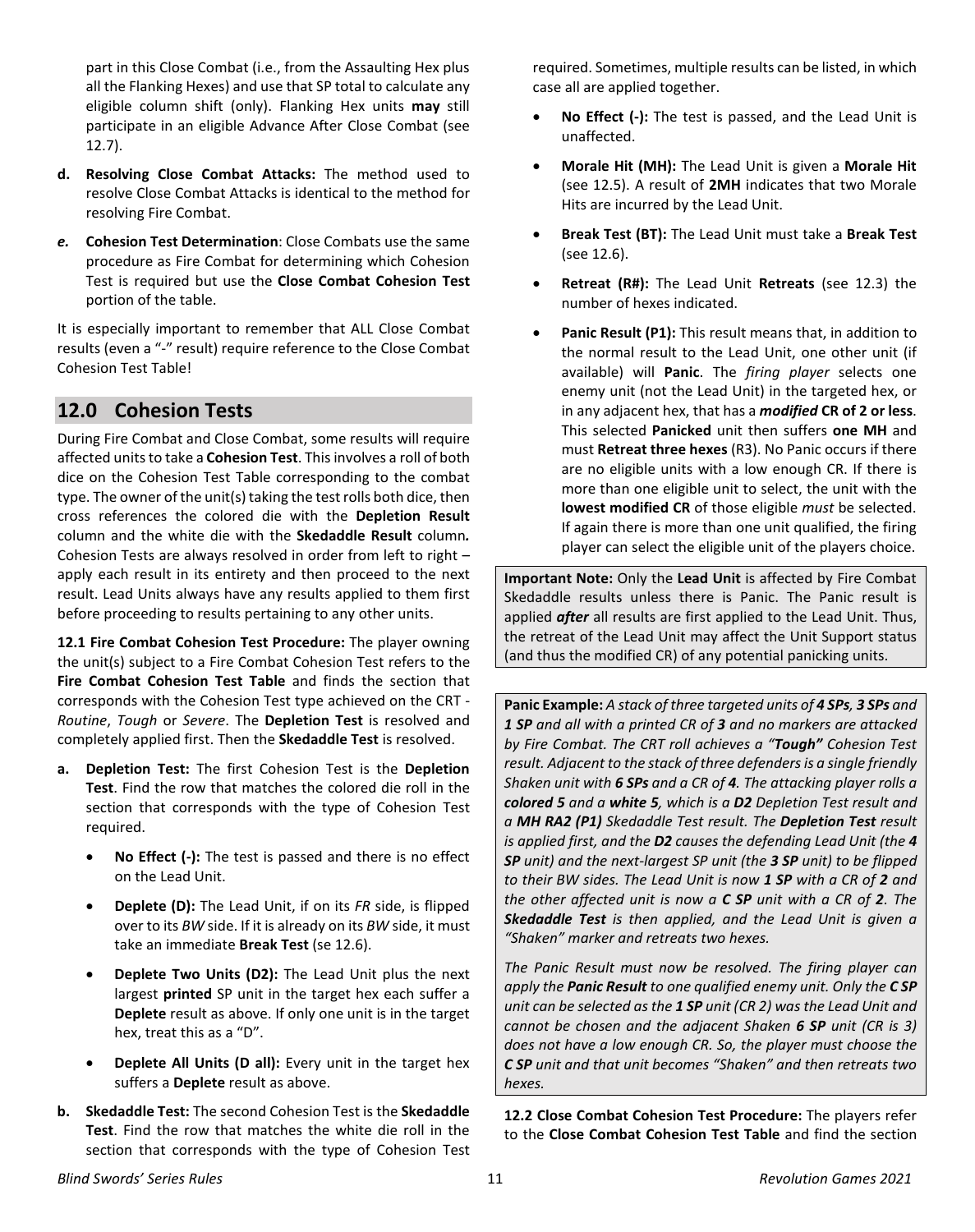part in this Close Combat (i.e., from the Assaulting Hex plus all the Flanking Hexes) and use that SP total to calculate any eligible column shift (only). Flanking Hex units **may** still participate in an eligible Advance After Close Combat (see 12.7).

- **d. Resolving Close Combat Attacks:** The method used to resolve Close Combat Attacks is identical to the method for resolving Fire Combat.
- *e.* **Cohesion Test Determination**: Close Combats use the same procedure as Fire Combat for determining which Cohesion Test is required but use the **Close Combat Cohesion Test** portion of the table.

It is especially important to remember that ALL Close Combat results (even a "-" result) require reference to the Close Combat Cohesion Test Table!

## <span id="page-10-0"></span>**12.0 Cohesion Tests**

During Fire Combat and Close Combat, some results will require affected units to take a **Cohesion Test**. This involves a roll of both dice on the Cohesion Test Table corresponding to the combat type. The owner of the unit(s) taking the test rolls both dice, then cross references the colored die with the **Depletion Result** column and the white die with the **Skedaddle Result** column*.* Cohesion Tests are always resolved in order from left to right – apply each result in its entirety and then proceed to the next result. Lead Units always have any results applied to them first before proceeding to results pertaining to any other units.

**12.1 Fire Combat Cohesion Test Procedure:** The player owning the unit(s) subject to a Fire Combat Cohesion Test refers to the **Fire Combat Cohesion Test Table** and finds the section that corresponds with the Cohesion Test type achieved on the CRT - *Routine*, *Tough* or *Severe*. The **Depletion Test** is resolved and completely applied first. Then the **Skedaddle Test** is resolved.

- **a. Depletion Test:** The first Cohesion Test is the **Depletion Test**. Find the row that matches the colored die roll in the section that corresponds with the type of Cohesion Test required.
	- **No Effect (-):** The test is passed and there is no effect on the Lead Unit.
	- **Deplete (D):** The Lead Unit, if on its *FR* side, is flipped over to its *BW* side. If it is already on its *BW* side, it must take an immediate **Break Test** (se 12.6).
	- **Deplete Two Units (D2):** The Lead Unit plus the next largest **printed** SP unit in the target hex each suffer a **Deplete** result as above. If only one unit is in the target hex, treat this as a "D".
	- **Deplete All Units (D all):** Every unit in the target hex suffers a **Deplete** result as above.
- **b. Skedaddle Test:** The second Cohesion Test is the **Skedaddle Test**. Find the row that matches the white die roll in the section that corresponds with the type of Cohesion Test

required. Sometimes, multiple results can be listed, in which case all are applied together.

- **No Effect (-):** The test is passed, and the Lead Unit is unaffected.
- **Morale Hit (MH):** The Lead Unit is given a **Morale Hit** (see 12.5). A result of **2MH** indicates that two Morale Hits are incurred by the Lead Unit.
- **Break Test (BT):** The Lead Unit must take a **Break Test** (see 12.6).
- **Retreat (R#):** The Lead Unit **Retreats** (see 12.3) the number of hexes indicated.
- **Panic Result (P1):** This result means that, in addition to the normal result to the Lead Unit, one other unit (if available) will **Panic**. The *firing player* selects one enemy unit (not the Lead Unit) in the targeted hex, or in any adjacent hex, that has a *modified* **CR of 2 or less**. This selected **Panicked** unit then suffers **one MH** and must **Retreat three hexes** (R3). No Panic occurs if there are no eligible units with a low enough CR. If there is more than one eligible unit to select, the unit with the **lowest modified CR** of those eligible *must* be selected. If again there is more than one unit qualified, the firing player can select the eligible unit of the players choice.

**Important Note:** Only the **Lead Unit** is affected by Fire Combat Skedaddle results unless there is Panic. The Panic result is applied *after* all results are first applied to the Lead Unit. Thus, the retreat of the Lead Unit may affect the Unit Support status (and thus the modified CR) of any potential panicking units.

**Panic Example:** *A stack of three targeted units of 4 SPs, 3 SPs and 1 SP and all with a printed CR of 3 and no markers are attacked by Fire Combat. The CRT roll achieves a "Tough" Cohesion Test result. Adjacent to the stack of three defenders is a single friendly Shaken unit with 6 SPs and a CR of 4. The attacking player rolls a colored 5 and a white 5, which is a D2 Depletion Test result and a MH RA2 (P1) Skedaddle Test result. The Depletion Test result is applied first, and the D2 causes the defending Lead Unit (the 4 SP unit) and the next-largest SP unit (the 3 SP unit) to be flipped to their BW sides. The Lead Unit is now 1 SP with a CR of 2 and the other affected unit is now a C SP unit with a CR of 2. The Skedaddle Test is then applied, and the Lead Unit is given a "Shaken" marker and retreats two hexes.* 

*The Panic Result must now be resolved. The firing player can apply the Panic Result to one qualified enemy unit. Only the C SP unit can be selected as the 1 SP unit (CR 2) was the Lead Unit and cannot be chosen and the adjacent Shaken 6 SP unit (CR is 3) does not have a low enough CR. So, the player must choose the C SP unit and that unit becomes "Shaken" and then retreats two hexes.*

**12.2 Close Combat Cohesion Test Procedure:** The players refer to the **Close Combat Cohesion Test Table** and find the section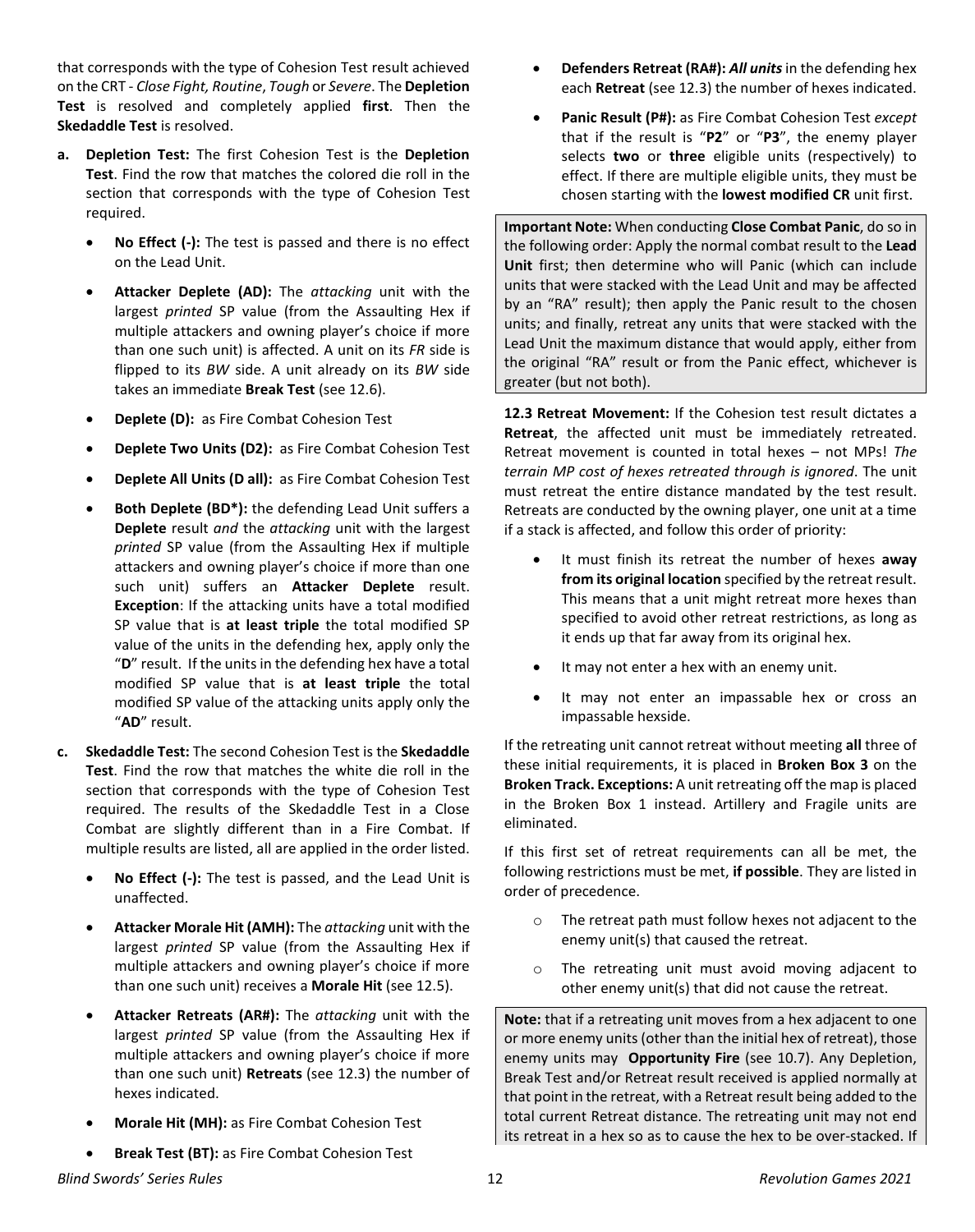that corresponds with the type of Cohesion Test result achieved on the CRT - *Close Fight, Routine*, *Tough* or *Severe*. The **Depletion Test** is resolved and completely applied **first**. Then the **Skedaddle Test** is resolved.

- **a. Depletion Test:** The first Cohesion Test is the **Depletion Test**. Find the row that matches the colored die roll in the section that corresponds with the type of Cohesion Test required.
	- **No Effect (-):** The test is passed and there is no effect on the Lead Unit.
	- **Attacker Deplete (AD):** The *attacking* unit with the largest *printed* SP value (from the Assaulting Hex if multiple attackers and owning player's choice if more than one such unit) is affected. A unit on its *FR* side is flipped to its *BW* side. A unit already on its *BW* side takes an immediate **Break Test** (see 12.6).
	- **Deplete (D):** as Fire Combat Cohesion Test
	- **Deplete Two Units (D2):** as Fire Combat Cohesion Test
	- **Deplete All Units (D all):** as Fire Combat Cohesion Test
	- **Both Deplete (BD\*):** the defending Lead Unit suffers a **Deplete** result *and* the *attacking* unit with the largest *printed* SP value (from the Assaulting Hex if multiple attackers and owning player's choice if more than one such unit) suffers an **Attacker Deplete** result. **Exception**: If the attacking units have a total modified SP value that is **at least triple** the total modified SP value of the units in the defending hex, apply only the "**D**" result. If the units in the defending hex have a total modified SP value that is **at least triple** the total modified SP value of the attacking units apply only the "**AD**" result.
- **c. Skedaddle Test:** The second Cohesion Test is the **Skedaddle Test**. Find the row that matches the white die roll in the section that corresponds with the type of Cohesion Test required. The results of the Skedaddle Test in a Close Combat are slightly different than in a Fire Combat. If multiple results are listed, all are applied in the order listed.
	- **No Effect (-):** The test is passed, and the Lead Unit is unaffected.
	- **Attacker Morale Hit (AMH):** The *attacking* unit with the largest *printed* SP value (from the Assaulting Hex if multiple attackers and owning player's choice if more than one such unit) receives a **Morale Hit** (see 12.5).
	- **Attacker Retreats (AR#):** The *attacking* unit with the largest *printed* SP value (from the Assaulting Hex if multiple attackers and owning player's choice if more than one such unit) **Retreats** (see 12.3) the number of hexes indicated.
	- **Morale Hit (MH):** as Fire Combat Cohesion Test
	- **Break Test (BT):** as Fire Combat Cohesion Test
- **Defenders Retreat (RA#):** *All units*in the defending hex each **Retreat** (see 12.3) the number of hexes indicated.
- **Panic Result (P#):** as Fire Combat Cohesion Test *except* that if the result is "**P2**" or "**P3**", the enemy player selects **two** or **three** eligible units (respectively) to effect. If there are multiple eligible units, they must be chosen starting with the **lowest modified CR** unit first.

**Important Note:** When conducting **Close Combat Panic**, do so in the following order: Apply the normal combat result to the **Lead Unit** first; then determine who will Panic (which can include units that were stacked with the Lead Unit and may be affected by an "RA" result); then apply the Panic result to the chosen units; and finally, retreat any units that were stacked with the Lead Unit the maximum distance that would apply, either from the original "RA" result or from the Panic effect, whichever is greater (but not both).

**12.3 Retreat Movement:** If the Cohesion test result dictates a **Retreat**, the affected unit must be immediately retreated. Retreat movement is counted in total hexes – not MPs! *The terrain MP cost of hexes retreated through is ignored*. The unit must retreat the entire distance mandated by the test result. Retreats are conducted by the owning player, one unit at a time if a stack is affected, and follow this order of priority:

- It must finish its retreat the number of hexes **away from its original location** specified by the retreat result. This means that a unit might retreat more hexes than specified to avoid other retreat restrictions, as long as it ends up that far away from its original hex.
- It may not enter a hex with an enemy unit.
- It may not enter an impassable hex or cross an impassable hexside.

If the retreating unit cannot retreat without meeting **all** three of these initial requirements, it is placed in **Broken Box 3** on the **Broken Track. Exceptions:** A unit retreating off the map is placed in the Broken Box 1 instead. Artillery and Fragile units are eliminated.

If this first set of retreat requirements can all be met, the following restrictions must be met, **if possible**. They are listed in order of precedence.

- o The retreat path must follow hexes not adjacent to the enemy unit(s) that caused the retreat.
- o The retreating unit must avoid moving adjacent to other enemy unit(s) that did not cause the retreat.

**Note:** that if a retreating unit moves from a hex adjacent to one or more enemy units (other than the initial hex of retreat), those enemy units may **Opportunity Fire** (see 10.7). Any Depletion, Break Test and/or Retreat result received is applied normally at that point in the retreat, with a Retreat result being added to the total current Retreat distance. The retreating unit may not end its retreat in a hex so as to cause the hex to be over-stacked. If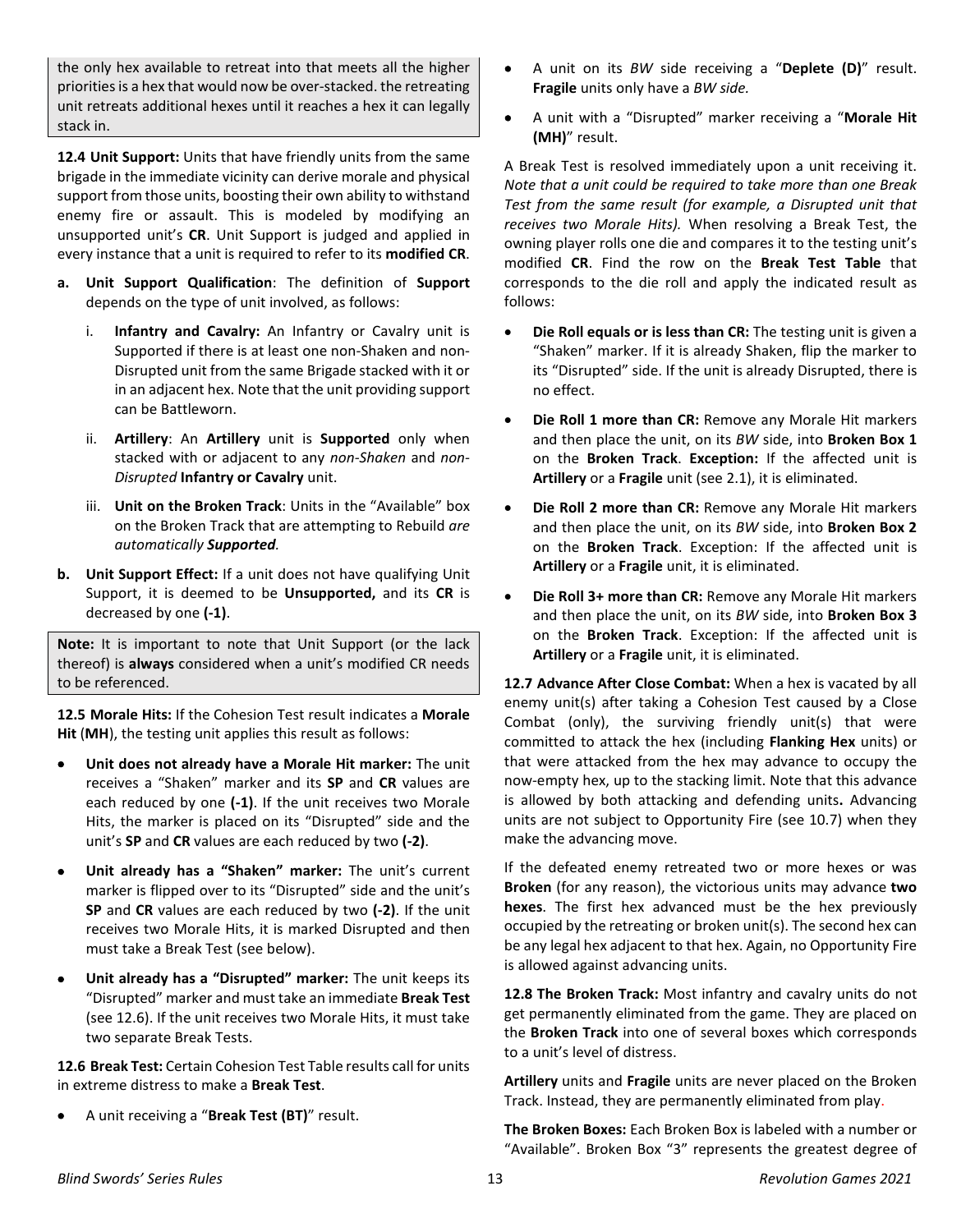the only hex available to retreat into that meets all the higher priorities is a hex that would now be over-stacked. the retreating unit retreats additional hexes until it reaches a hex it can legally stack in.

**12.4 Unit Support:** Units that have friendly units from the same brigade in the immediate vicinity can derive morale and physical support from those units, boosting their own ability to withstand enemy fire or assault. This is modeled by modifying an unsupported unit's **CR**. Unit Support is judged and applied in every instance that a unit is required to refer to its **modified CR**.

- **a. Unit Support Qualification**: The definition of **Support** depends on the type of unit involved, as follows:
	- i. **Infantry and Cavalry:** An Infantry or Cavalry unit is Supported if there is at least one non-Shaken and non-Disrupted unit from the same Brigade stacked with it or in an adjacent hex. Note that the unit providing support can be Battleworn.
	- ii. **Artillery**: An **Artillery** unit is **Supported** only when stacked with or adjacent to any *non-Shaken* and *non-Disrupted* **Infantry or Cavalry** unit.
	- iii. **Unit on the Broken Track**: Units in the "Available" box on the Broken Track that are attempting to Rebuild *are automatically Supported.*
- **b. Unit Support Effect:** If a unit does not have qualifying Unit Support, it is deemed to be **Unsupported,** and its **CR** is decreased by one **(-1)**.

**Note:** It is important to note that Unit Support (or the lack thereof) is **always** considered when a unit's modified CR needs to be referenced.

**12.5 Morale Hits:** If the Cohesion Test result indicates a **Morale Hit** (**MH**), the testing unit applies this result as follows:

- **Unit does not already have a Morale Hit marker:** The unit receives a "Shaken" marker and its **SP** and **CR** values are each reduced by one **(-1)**. If the unit receives two Morale Hits, the marker is placed on its "Disrupted" side and the unit's **SP** and **CR** values are each reduced by two **(-2)**.
- **Unit already has a "Shaken" marker:** The unit's current marker is flipped over to its "Disrupted" side and the unit's **SP** and **CR** values are each reduced by two **(-2)**. If the unit receives two Morale Hits, it is marked Disrupted and then must take a Break Test (see below).
- **Unit already has a "Disrupted" marker:** The unit keeps its "Disrupted" marker and must take an immediate **Break Test** (see 12.6). If the unit receives two Morale Hits, it must take two separate Break Tests.

**12.6 Break Test:** Certain Cohesion Test Table results call for units in extreme distress to make a **Break Test**.

• A unit receiving a "**Break Test (BT)**" result.

- A unit on its *BW* side receiving a "**Deplete (D)**" result. **Fragile** units only have a *BW side.*
- A unit with a "Disrupted" marker receiving a "**Morale Hit (MH)**" result.

A Break Test is resolved immediately upon a unit receiving it. *Note that a unit could be required to take more than one Break Test from the same result (for example, a Disrupted unit that receives two Morale Hits).* When resolving a Break Test, the owning player rolls one die and compares it to the testing unit's modified **CR**. Find the row on the **Break Test Table** that corresponds to the die roll and apply the indicated result as follows:

- **Die Roll equals or is less than CR:** The testing unit is given a "Shaken" marker. If it is already Shaken, flip the marker to its "Disrupted" side. If the unit is already Disrupted, there is no effect.
- **Die Roll 1 more than CR:** Remove any Morale Hit markers and then place the unit, on its *BW* side, into **Broken Box 1** on the **Broken Track**. **Exception:** If the affected unit is **Artillery** or a **Fragile** unit (see 2.1), it is eliminated.
- **Die Roll 2 more than CR:** Remove any Morale Hit markers and then place the unit, on its *BW* side, into **Broken Box 2** on the **Broken Track**. Exception: If the affected unit is **Artillery** or a **Fragile** unit, it is eliminated.
- **Die Roll 3+ more than CR:** Remove any Morale Hit markers and then place the unit, on its *BW* side, into **Broken Box 3** on the **Broken Track**. Exception: If the affected unit is **Artillery** or a **Fragile** unit, it is eliminated.

**12.7 Advance After Close Combat:** When a hex is vacated by all enemy unit(s) after taking a Cohesion Test caused by a Close Combat (only), the surviving friendly unit(s) that were committed to attack the hex (including **Flanking Hex** units) or that were attacked from the hex may advance to occupy the now-empty hex, up to the stacking limit. Note that this advance is allowed by both attacking and defending units**.** Advancing units are not subject to Opportunity Fire (see 10.7) when they make the advancing move.

If the defeated enemy retreated two or more hexes or was **Broken** (for any reason), the victorious units may advance **two hexes**. The first hex advanced must be the hex previously occupied by the retreating or broken unit(s). The second hex can be any legal hex adjacent to that hex. Again, no Opportunity Fire is allowed against advancing units.

**12.8 The Broken Track:** Most infantry and cavalry units do not get permanently eliminated from the game. They are placed on the **Broken Track** into one of several boxes which corresponds to a unit's level of distress.

**Artillery** units and **Fragile** units are never placed on the Broken Track. Instead, they are permanently eliminated from play.

**The Broken Boxes:** Each Broken Box is labeled with a number or "Available". Broken Box "3" represents the greatest degree of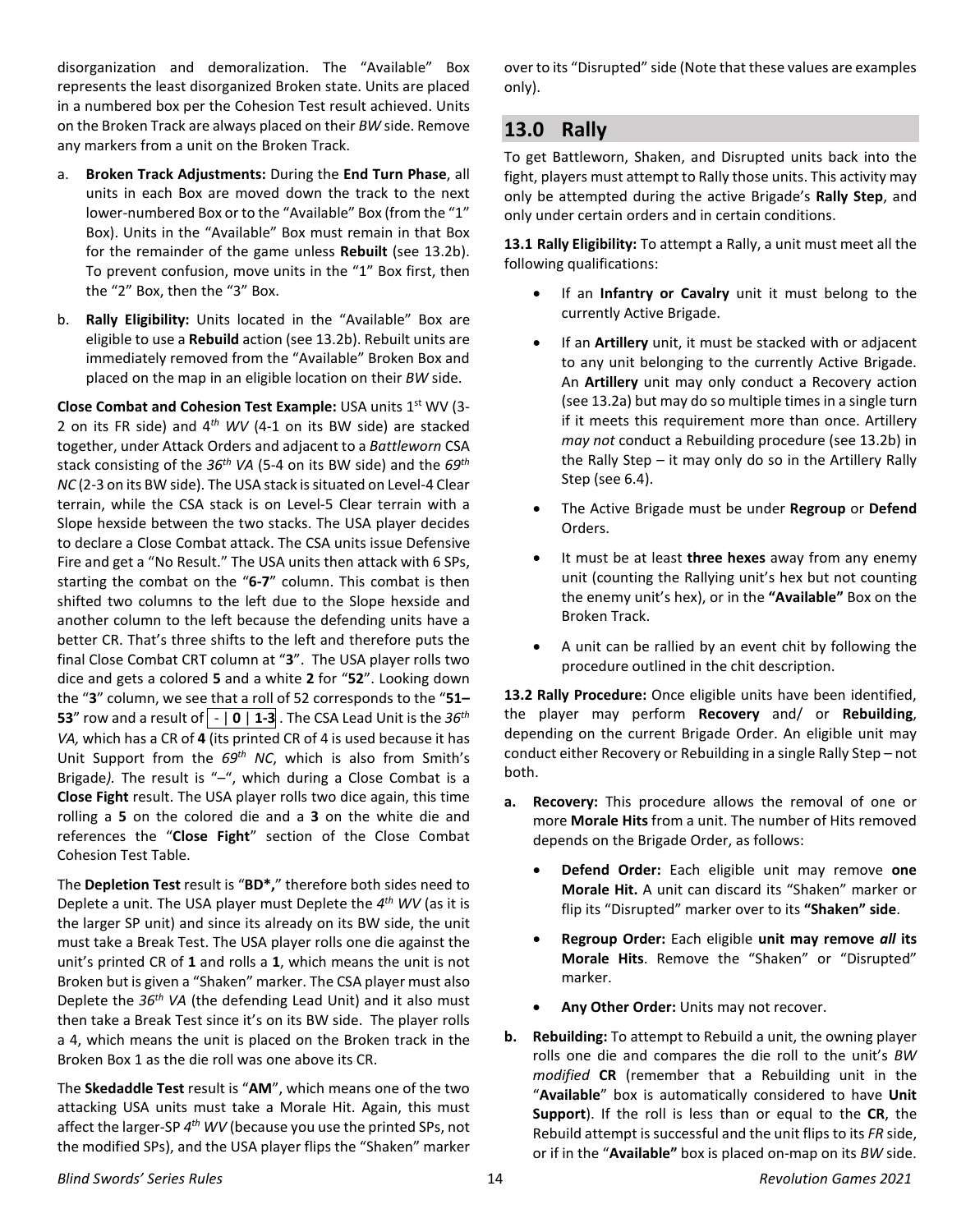disorganization and demoralization. The "Available" Box represents the least disorganized Broken state. Units are placed in a numbered box per the Cohesion Test result achieved. Units on the Broken Track are always placed on their *BW* side. Remove any markers from a unit on the Broken Track.

- a. **Broken Track Adjustments:** During the **End Turn Phase**, all units in each Box are moved down the track to the next lower-numbered Box or to the "Available" Box (from the "1" Box). Units in the "Available" Box must remain in that Box for the remainder of the game unless **Rebuilt** (see 13.2b). To prevent confusion, move units in the "1" Box first, then the "2" Box, then the "3" Box.
- b. **Rally Eligibility:** Units located in the "Available" Box are eligible to use a **Rebuild** action (see 13.2b). Rebuilt units are immediately removed from the "Available" Broken Box and placed on the map in an eligible location on their *BW* side.

**Close Combat and Cohesion Test Example: USA units 1st WV (3-**2 on its FR side) and 4*th WV* (4-1 on its BW side) are stacked together, under Attack Orders and adjacent to a *Battleworn* CSA stack consisting of the *36th VA* (5-4 on its BW side) and the *69th NC* (2-3 on its BW side). The USA stack is situated on Level-4 Clear terrain, while the CSA stack is on Level-5 Clear terrain with a Slope hexside between the two stacks. The USA player decides to declare a Close Combat attack. The CSA units issue Defensive Fire and get a "No Result." The USA units then attack with 6 SPs, starting the combat on the "**6-7**" column. This combat is then shifted two columns to the left due to the Slope hexside and another column to the left because the defending units have a better CR. That's three shifts to the left and therefore puts the final Close Combat CRT column at "**3**". The USA player rolls two dice and gets a colored **5** and a white **2** for "**52**". Looking down the "**3**" column, we see that a roll of 52 corresponds to the "**51– 53**" row and a result of  $\vert \cdot \vert 0 \vert 1$ -3. The CSA Lead Unit is the 36<sup>th</sup> *VA,* which has a CR of **4** (its printed CR of 4 is used because it has Unit Support from the *69th NC*, which is also from Smith's Brigade*).* The result is "–", which during a Close Combat is a **Close Fight** result. The USA player rolls two dice again, this time rolling a **5** on the colored die and a **3** on the white die and references the "**Close Fight**" section of the Close Combat Cohesion Test Table.

The **Depletion Test** result is "**BD\*,**" therefore both sides need to Deplete a unit. The USA player must Deplete the *4th WV* (as it is the larger SP unit) and since its already on its BW side, the unit must take a Break Test. The USA player rolls one die against the unit's printed CR of **1** and rolls a **1**, which means the unit is not Broken but is given a "Shaken" marker. The CSA player must also Deplete the *36th VA* (the defending Lead Unit) and it also must then take a Break Test since it's on its BW side. The player rolls a 4, which means the unit is placed on the Broken track in the Broken Box 1 as the die roll was one above its CR.

The **Skedaddle Test** result is "**AM**", which means one of the two attacking USA units must take a Morale Hit. Again, this must affect the larger-SP *4th WV* (because you use the printed SPs, not the modified SPs), and the USA player flips the "Shaken" marker

over to its "Disrupted" side (Note that these values are examples only).

## <span id="page-13-0"></span>**13.0 Rally**

To get Battleworn, Shaken, and Disrupted units back into the fight, players must attempt to Rally those units. This activity may only be attempted during the active Brigade's **Rally Step**, and only under certain orders and in certain conditions.

**13.1 Rally Eligibility:** To attempt a Rally, a unit must meet all the following qualifications:

- If an **Infantry or Cavalry** unit it must belong to the currently Active Brigade.
- If an **Artillery** unit, it must be stacked with or adjacent to any unit belonging to the currently Active Brigade. An **Artillery** unit may only conduct a Recovery action (see 13.2a) but may do so multiple times in a single turn if it meets this requirement more than once. Artillery *may not* conduct a Rebuilding procedure (see 13.2b) in the Rally Step – it may only do so in the Artillery Rally Step (see 6.4).
- The Active Brigade must be under **Regroup** or **Defend** Orders.
- It must be at least **three hexes** away from any enemy unit (counting the Rallying unit's hex but not counting the enemy unit's hex), or in the **"Available"** Box on the Broken Track.
- A unit can be rallied by an event chit by following the procedure outlined in the chit description.

**13.2 Rally Procedure:** Once eligible units have been identified, the player may perform **Recovery** and/ or **Rebuilding**, depending on the current Brigade Order. An eligible unit may conduct either Recovery or Rebuilding in a single Rally Step – not both.

- **a. Recovery:** This procedure allows the removal of one or more **Morale Hits** from a unit. The number of Hits removed depends on the Brigade Order, as follows:
	- **Defend Order:** Each eligible unit may remove **one Morale Hit.** A unit can discard its "Shaken" marker or flip its "Disrupted" marker over to its **"Shaken" side**.
	- **Regroup Order:** Ea*c*h eligible **unit may remove** *all* **its Morale Hits**. Remove the "Shaken" or "Disrupted" marker.
	- **Any Other Order:** Units may not recover.
- **b. Rebuilding:** To attempt to Rebuild a unit, the owning player rolls one die and compares the die roll to the unit's *BW modified* **CR** (remember that a Rebuilding unit in the "**Available**" box is automatically considered to have **Unit Support**). If the roll is less than or equal to the **CR**, the Rebuild attempt is successful and the unit flips to its *FR* side, or if in the "**Available"** box is placed on-map on its *BW* side.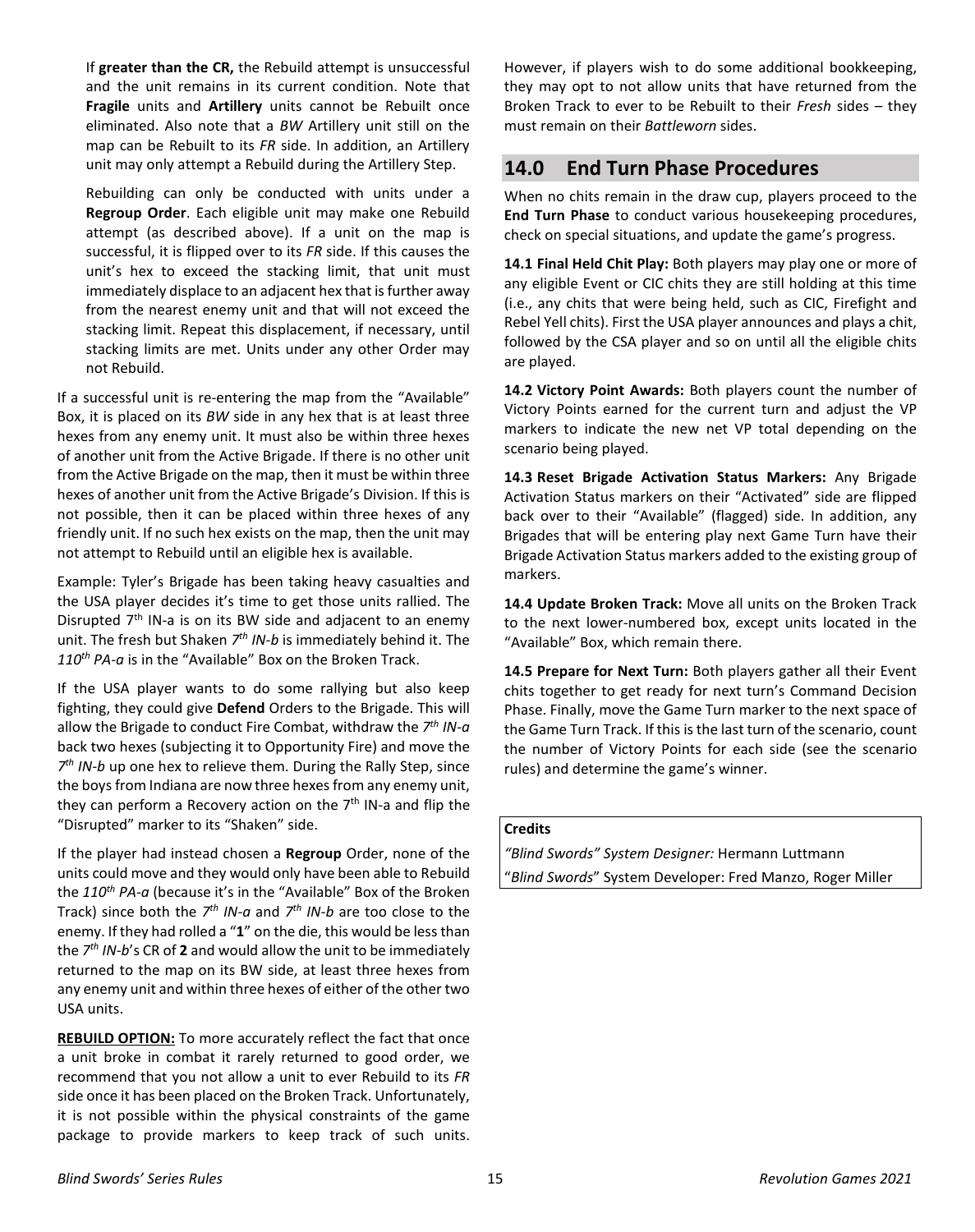If **greater than the CR,** the Rebuild attempt is unsuccessful and the unit remains in its current condition. Note that **Fragile** units and **Artillery** units cannot be Rebuilt once eliminated. Also note that a *BW* Artillery unit still on the map can be Rebuilt to its *FR* side. In addition, an Artillery unit may only attempt a Rebuild during the Artillery Step.

Rebuilding can only be conducted with units under a **Regroup Order**. Each eligible unit may make one Rebuild attempt (as described above). If a unit on the map is successful, it is flipped over to its *FR* side. If this causes the unit's hex to exceed the stacking limit, that unit must immediately displace to an adjacent hex that is further away from the nearest enemy unit and that will not exceed the stacking limit. Repeat this displacement, if necessary, until stacking limits are met. Units under any other Order may not Rebuild.

If a successful unit is re-entering the map from the "Available" Box, it is placed on its *BW* side in any hex that is at least three hexes from any enemy unit. It must also be within three hexes of another unit from the Active Brigade. If there is no other unit from the Active Brigade on the map, then it must be within three hexes of another unit from the Active Brigade's Division. If this is not possible, then it can be placed within three hexes of any friendly unit. If no such hex exists on the map, then the unit may not attempt to Rebuild until an eligible hex is available.

Example: Tyler's Brigade has been taking heavy casualties and the USA player decides it's time to get those units rallied. The Disrupted 7<sup>th</sup> IN-a is on its BW side and adjacent to an enemy unit. The fresh but Shaken *7th IN-b* is immediately behind it. The *110th PA-a* is in the "Available" Box on the Broken Track.

If the USA player wants to do some rallying but also keep fighting, they could give **Defend** Orders to the Brigade. This will allow the Brigade to conduct Fire Combat, withdraw the *7th IN-a* back two hexes (subjecting it to Opportunity Fire) and move the *7th IN-b* up one hex to relieve them. During the Rally Step, since the boys from Indiana are now three hexes from any enemy unit, they can perform a Recovery action on the  $7<sup>th</sup>$  IN-a and flip the "Disrupted" marker to its "Shaken" side.

If the player had instead chosen a **Regroup** Order, none of the units could move and they would only have been able to Rebuild the 110<sup>th</sup> PA-a (because it's in the "Available" Box of the Broken Track) since both the *7th IN-a* and *7th IN-b* are too close to the enemy. If they had rolled a "**1**" on the die, this would be less than the *7th IN-b*'s CR of **2** and would allow the unit to be immediately returned to the map on its BW side, at least three hexes from any enemy unit and within three hexes of either of the other two USA units.

**REBUILD OPTION:** To more accurately reflect the fact that once a unit broke in combat it rarely returned to good order, we recommend that you not allow a unit to ever Rebuild to its *FR* side once it has been placed on the Broken Track. Unfortunately, it is not possible within the physical constraints of the game package to provide markers to keep track of such units. However, if players wish to do some additional bookkeeping, they may opt to not allow units that have returned from the Broken Track to ever to be Rebuilt to their *Fresh* sides – they must remain on their *Battleworn* sides.

## <span id="page-14-0"></span>**14.0 End Turn Phase Procedures**

When no chits remain in the draw cup, players proceed to the **End Turn Phase** to conduct various housekeeping procedures, check on special situations, and update the game's progress.

**14.1 Final Held Chit Play:** Both players may play one or more of any eligible Event or CIC chits they are still holding at this time (i.e., any chits that were being held, such as CIC, Firefight and Rebel Yell chits). First the USA player announces and plays a chit, followed by the CSA player and so on until all the eligible chits are played.

**14.2 Victory Point Awards:** Both players count the number of Victory Points earned for the current turn and adjust the VP markers to indicate the new net VP total depending on the scenario being played.

**14.3 Reset Brigade Activation Status Markers:** Any Brigade Activation Status markers on their "Activated" side are flipped back over to their "Available" (flagged) side. In addition, any Brigades that will be entering play next Game Turn have their Brigade Activation Status markers added to the existing group of markers.

**14.4 Update Broken Track:** Move all units on the Broken Track to the next lower-numbered box, except units located in the "Available" Box, which remain there.

**14.5 Prepare for Next Turn:** Both players gather all their Event chits together to get ready for next turn's Command Decision Phase. Finally, move the Game Turn marker to the next space of the Game Turn Track. If this is the last turn of the scenario, count the number of Victory Points for each side (see the scenario rules) and determine the game's winner.

#### **Credits**

*"Blind Swords" System Designer:* Hermann Luttmann "*Blind Swords*" System Developer: Fred Manzo, Roger Miller